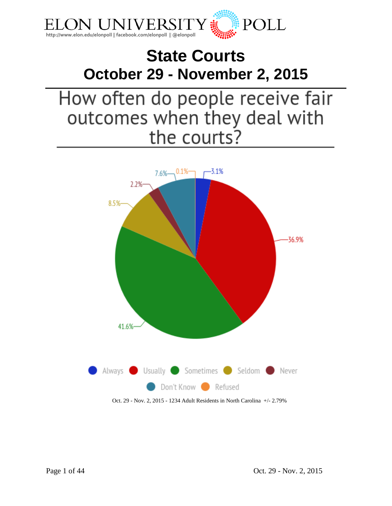

# **State Courts October 29 - November 2, 2015**

# How often do people receive fair outcomes when they deal with the courts?

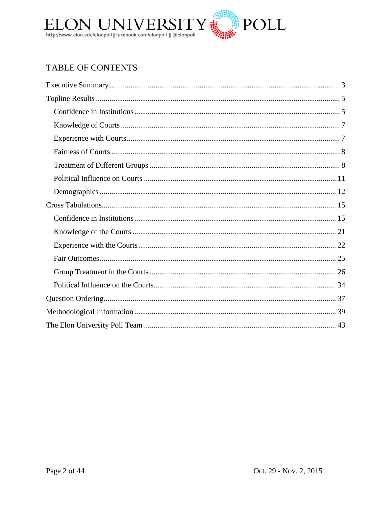

# TABLE OF CONTENTS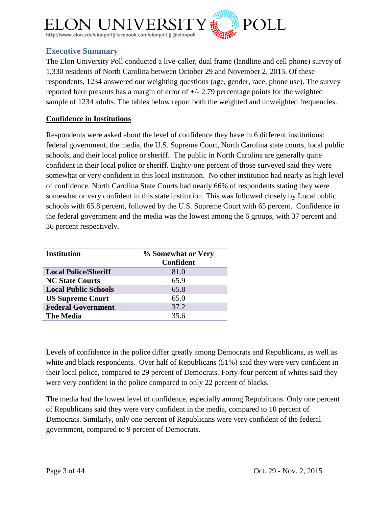

# <span id="page-2-0"></span>**Executive Summary**

The Elon University Poll conducted a live-caller, dual frame (landline and cell phone) survey of 1,330 residents of North Carolina between October 29 and November 2, 2015. Of these respondents, 1234 answered our weighting questions (age, gender, race, phone use). The survey reported here presents has a margin of error of +/- 2.79 percentage points for the weighted sample of 1234 adults. The tables below report both the weighted and unweighted frequencies.

# **Confidence in Institutions**

Respondents were asked about the level of confidence they have in 6 different institutions: federal government, the media, the U.S. Supreme Court, North Carolina state courts, local public schools, and their local police or sheriff. The public in North Carolina are generally quite confident in their local police or sheriff. Eighty-one percent of those surveyed said they were somewhat or very confident in this local institution. No other institution had nearly as high level of confidence. North Carolina State Courts had nearly 66% of respondents stating they were somewhat or very confident in this state institution. This was followed closely by Local public schools with 65.8 percent, followed by the U.S. Supreme Court with 65 percent. Confidence in the federal government and the media was the lowest among the 6 groups, with 37 percent and 36 percent respectively.

| <b>Institution</b>          | % Somewhat or Very<br><b>Confident</b> |
|-----------------------------|----------------------------------------|
| <b>Local Police/Sheriff</b> | 81.0                                   |
| <b>NC State Courts</b>      | 65.9                                   |
| <b>Local Public Schools</b> | 65.8                                   |
| <b>US Supreme Court</b>     | 65.0                                   |
| <b>Federal Government</b>   | 37.2                                   |
| <b>The Media</b>            | 35.6                                   |

Levels of confidence in the police differ greatly among Democrats and Republicans, as well as white and black respondents. Over half of Republicans (51%) said they were very confident in their local police, compared to 29 percent of Democrats. Forty-four percent of whites said they were very confident in the police compared to only 22 percent of blacks.

The media had the lowest level of confidence, especially among Republicans. Only one percent of Republicans said they were very confident in the media, compared to 10 percent of Democrats. Similarly, only one percent of Republicans were very confident of the federal government, compared to 9 percent of Democrats.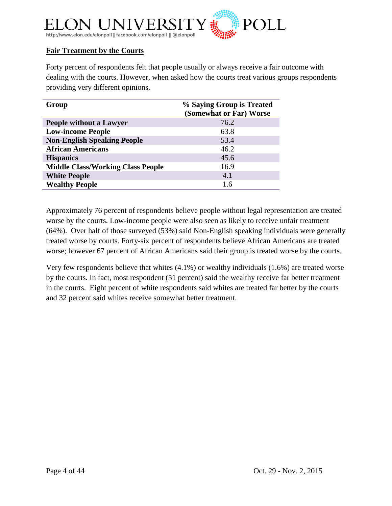

# **Fair Treatment by the Courts**

Forty percent of respondents felt that people usually or always receive a fair outcome with dealing with the courts. However, when asked how the courts treat various groups respondents providing very different opinions.

| Group                                    | % Saying Group is Treated<br>(Somewhat or Far) Worse |
|------------------------------------------|------------------------------------------------------|
| <b>People without a Lawyer</b>           | 76.2                                                 |
| <b>Low-income People</b>                 | 63.8                                                 |
| <b>Non-English Speaking People</b>       | 53.4                                                 |
| <b>African Americans</b>                 | 46.2                                                 |
| <b>Hispanics</b>                         | 45.6                                                 |
| <b>Middle Class/Working Class People</b> | 16.9                                                 |
| <b>White People</b>                      | 4.1                                                  |
| <b>Wealthy People</b>                    | 1.6                                                  |

Approximately 76 percent of respondents believe people without legal representation are treated worse by the courts. Low-income people were also seen as likely to receive unfair treatment (64%). Over half of those surveyed (53%) said Non-English speaking individuals were generally treated worse by courts. Forty-six percent of respondents believe African Americans are treated worse; however 67 percent of African Americans said their group is treated worse by the courts.

Very few respondents believe that whites (4.1%) or wealthy individuals (1.6%) are treated worse by the courts. In fact, most respondent (51 percent) said the wealthy receive far better treatment in the courts. Eight percent of white respondents said whites are treated far better by the courts and 32 percent said whites receive somewhat better treatment.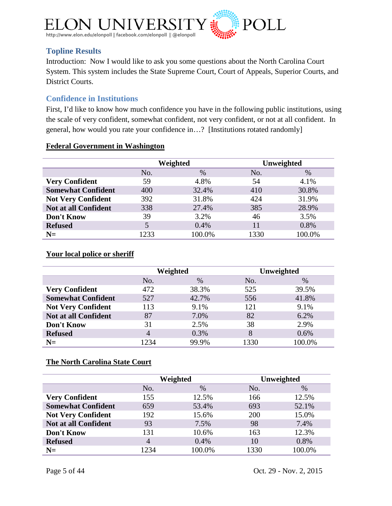

# <span id="page-4-0"></span>**Topline Results**

Introduction: Now I would like to ask you some questions about the North Carolina Court System. This system includes the State Supreme Court, Court of Appeals, Superior Courts, and District Courts.

# <span id="page-4-1"></span>**Confidence in Institutions**

First, I'd like to know how much confidence you have in the following public institutions, using the scale of very confident, somewhat confident, not very confident, or not at all confident. In general, how would you rate your confidence in…? [Institutions rotated randomly]

## **Federal Government in Washington**

|                             | Weighted |        |      | Unweighted |
|-----------------------------|----------|--------|------|------------|
|                             | No.      | $\%$   | No.  | %          |
| <b>Very Confident</b>       | 59       | 4.8%   | 54   | 4.1%       |
| <b>Somewhat Confident</b>   | 400      | 32.4%  | 410  | 30.8%      |
| <b>Not Very Confident</b>   | 392      | 31.8%  | 424  | 31.9%      |
| <b>Not at all Confident</b> | 338      | 27.4%  | 385  | 28.9%      |
| Don't Know                  | 39       | 3.2%   | 46   | 3.5%       |
| <b>Refused</b>              | 5        | 0.4%   | 11   | 0.8%       |
| $N=$                        | 1233     | 100.0% | 1330 | 100.0%     |

# **Your local police or sheriff**

|                             | Weighted       |       |      | Unweighted |
|-----------------------------|----------------|-------|------|------------|
|                             | No.            | $\%$  | No.  | $\%$       |
| <b>Very Confident</b>       | 472            | 38.3% | 525  | 39.5%      |
| <b>Somewhat Confident</b>   | 527            | 42.7% | 556  | 41.8%      |
| <b>Not Very Confident</b>   | 113            | 9.1%  | 121  | 9.1%       |
| <b>Not at all Confident</b> | 87             | 7.0%  | 82   | 6.2%       |
| Don't Know                  | 31             | 2.5%  | 38   | 2.9%       |
| <b>Refused</b>              | $\overline{4}$ | 0.3%  | 8    | 0.6%       |
| $N=$                        | 1234           | 99.9% | 1330 | 100.0%     |

## **The North Carolina State Court**

|                             | Weighted |        |      | Unweighted |
|-----------------------------|----------|--------|------|------------|
|                             | No.      | $\%$   | No.  | $\%$       |
| <b>Very Confident</b>       | 155      | 12.5%  | 166  | 12.5%      |
| <b>Somewhat Confident</b>   | 659      | 53.4%  | 693  | 52.1%      |
| <b>Not Very Confident</b>   | 192      | 15.6%  | 200  | 15.0%      |
| <b>Not at all Confident</b> | 93       | 7.5%   | 98   | 7.4%       |
| Don't Know                  | 131      | 10.6%  | 163  | 12.3%      |
| <b>Refused</b>              | 4        | 0.4%   | 10   | 0.8%       |
| $N =$                       | 1234     | 100.0% | 1330 | 100.0%     |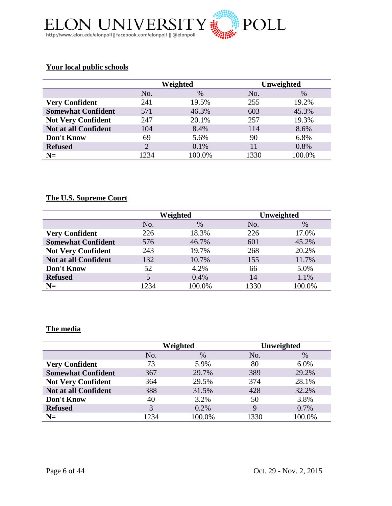

## **Your local public schools**

|                             | Weighted                    |        |      | Unweighted |
|-----------------------------|-----------------------------|--------|------|------------|
|                             | No.                         | $\%$   | No.  | $\%$       |
| <b>Very Confident</b>       | 241                         | 19.5%  | 255  | 19.2%      |
| <b>Somewhat Confident</b>   | 571                         | 46.3%  | 603  | 45.3%      |
| <b>Not Very Confident</b>   | 247                         | 20.1%  | 257  | 19.3%      |
| <b>Not at all Confident</b> | 104                         | 8.4%   | 114  | 8.6%       |
| Don't Know                  | 69                          | 5.6%   | 90   | 6.8%       |
| <b>Refused</b>              | $\mathcal{D}_{\mathcal{A}}$ | 0.1%   | 11   | 0.8%       |
| $N=$                        | 1234                        | 100.0% | 1330 | 100.0%     |

# **The U.S. Supreme Court**

|                           | Weighted |        |      | Unweighted |
|---------------------------|----------|--------|------|------------|
|                           | No.      | $\%$   | No.  | $\%$       |
| <b>Very Confident</b>     | 226      | 18.3%  | 226  | 17.0%      |
| <b>Somewhat Confident</b> | 576      | 46.7%  | 601  | 45.2%      |
| <b>Not Very Confident</b> | 243      | 19.7%  | 268  | 20.2%      |
| Not at all Confident      | 132      | 10.7%  | 155  | 11.7%      |
| Don't Know                | 52       | 4.2%   | 66   | 5.0%       |
| <b>Refused</b>            | 5        | 0.4%   | 14   | 1.1%       |
| $N =$                     | 1234     | 100.0% | 1330 | 100.0%     |

# **The media**

|                             | Weighted |        |             | Unweighted |
|-----------------------------|----------|--------|-------------|------------|
|                             | No.      | $\%$   | No.         | $\%$       |
| <b>Very Confident</b>       | 73       | 5.9%   | 80          | 6.0%       |
| <b>Somewhat Confident</b>   | 367      | 29.7%  | 389         | 29.2%      |
| <b>Not Very Confident</b>   | 364      | 29.5%  | 374         | 28.1%      |
| <b>Not at all Confident</b> | 388      | 31.5%  | 428         | 32.2%      |
| Don't Know                  | 40       | 3.2%   | 50          | 3.8%       |
| <b>Refused</b>              | 3        | 0.2%   | $\mathbf Q$ | 0.7%       |
| $N =$                       | 1234     | 100.0% | 1330        | 100.0%     |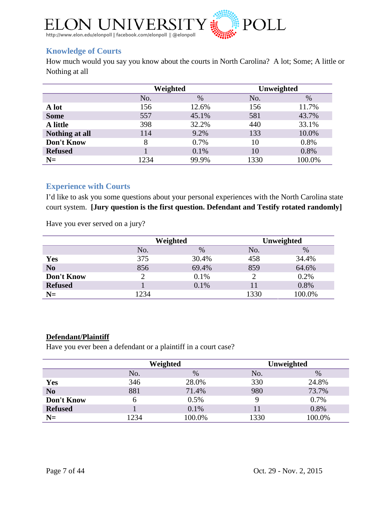

# <span id="page-6-0"></span>**Knowledge of Courts**

How much would you say you know about the courts in North Carolina? A lot; Some; A little or Nothing at all

|                | Weighted |       | Unweighted |        |
|----------------|----------|-------|------------|--------|
|                | No.      | $\%$  | No.        | $\%$   |
| A lot          | 156      | 12.6% | 156        | 11.7%  |
| <b>Some</b>    | 557      | 45.1% | 581        | 43.7%  |
| A little       | 398      | 32.2% | 440        | 33.1%  |
| Nothing at all | 114      | 9.2%  | 133        | 10.0%  |
| Don't Know     | 8        | 0.7%  | 10         | 0.8%   |
| <b>Refused</b> |          | 0.1%  | 10         | 0.8%   |
| $N=$           | 1234     | 99.9% | 1330       | 100.0% |

## <span id="page-6-1"></span>**Experience with Courts**

I'd like to ask you some questions about your personal experiences with the North Carolina state court system. **[Jury question is the first question. Defendant and Testify rotated randomly]**

Have you ever served on a jury?

|                | Weighted |       |      | Unweighted |
|----------------|----------|-------|------|------------|
|                | No.      | $\%$  | No.  | $\%$       |
| Yes            | 375      | 30.4% | 458  | 34.4%      |
| N <sub>0</sub> | 856      | 69.4% | 859  | 64.6%      |
| Don't Know     |          | 0.1%  |      | 0.2%       |
| <b>Refused</b> |          | 0.1%  | 11   | 0.8%       |
| $N=$           | 1234     |       | 1330 | 100.0%     |

## **Defendant/Plaintiff**

Have you ever been a defendant or a plaintiff in a court case?

|                | Weighted |        |      | Unweighted |
|----------------|----------|--------|------|------------|
|                | No.      | $\%$   | No.  | $\%$       |
| <b>Yes</b>     | 346      | 28.0%  | 330  | 24.8%      |
| N <sub>0</sub> | 881      | 71.4%  | 980  | 73.7%      |
| Don't Know     | 6        | 0.5%   | 9    | 0.7%       |
| <b>Refused</b> |          | 0.1%   |      | 0.8%       |
| $N=$           | 1234     | 100.0% | 1330 | 100.0%     |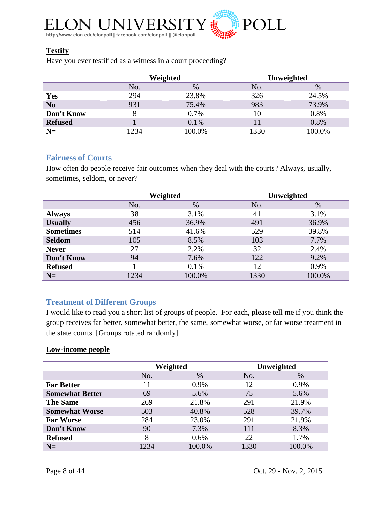

# **Testify**

Have you ever testified as a witness in a court proceeding?

|                |      | Weighted |      | Unweighted |
|----------------|------|----------|------|------------|
|                | No.  | $\%$     | No.  | %          |
| Yes            | 294  | 23.8%    | 326  | 24.5%      |
| N <sub>0</sub> | 931  | 75.4%    | 983  | 73.9%      |
| Don't Know     | 8    | 0.7%     | 10   | 0.8%       |
| <b>Refused</b> |      | 0.1%     |      | 0.8%       |
| $N=$           | 1234 | 100.0%   | 1330 | 100.0%     |

## <span id="page-7-0"></span>**Fairness of Courts**

How often do people receive fair outcomes when they deal with the courts? Always, usually, sometimes, seldom, or never?

|                  |      | Weighted |      | Unweighted |
|------------------|------|----------|------|------------|
|                  | No.  | $\%$     | No.  | $\%$       |
| <b>Always</b>    | 38   | 3.1%     | 41   | 3.1%       |
| <b>Usually</b>   | 456  | 36.9%    | 491  | 36.9%      |
| <b>Sometimes</b> | 514  | 41.6%    | 529  | 39.8%      |
| <b>Seldom</b>    | 105  | 8.5%     | 103  | 7.7%       |
| <b>Never</b>     | 27   | 2.2%     | 32   | 2.4%       |
| Don't Know       | 94   | 7.6%     | 122  | 9.2%       |
| <b>Refused</b>   |      | 0.1%     | 12   | 0.9%       |
| $N=$             | 1234 | 100.0%   | 1330 | 100.0%     |

# <span id="page-7-1"></span>**Treatment of Different Groups**

I would like to read you a short list of groups of people. For each, please tell me if you think the group receives far better, somewhat better, the same, somewhat worse, or far worse treatment in the state courts. [Groups rotated randomly]

# **Low-income people**

|                        | Weighted |         | Unweighted |        |
|------------------------|----------|---------|------------|--------|
|                        | No.      | $\%$    | No.        | $\%$   |
| <b>Far Better</b>      |          | 0.9%    | 12         | 0.9%   |
| <b>Somewhat Better</b> | 69       | 5.6%    | 75         | 5.6%   |
| <b>The Same</b>        | 269      | 21.8%   | 291        | 21.9%  |
| <b>Somewhat Worse</b>  | 503      | 40.8%   | 528        | 39.7%  |
| <b>Far Worse</b>       | 284      | 23.0%   | 291        | 21.9%  |
| Don't Know             | 90       | 7.3%    | 111        | 8.3%   |
| <b>Refused</b>         | 8        | $0.6\%$ | 22         | 1.7%   |
| $N=$                   | 1234     | 100.0%  | 1330       | 100.0% |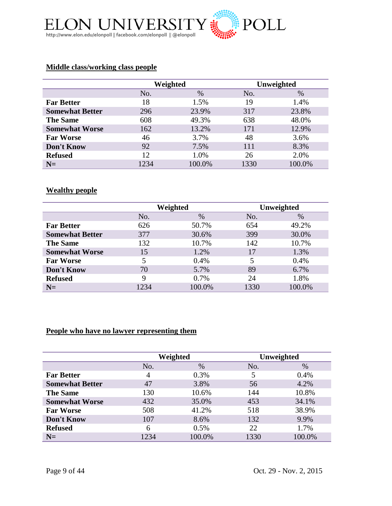

# **Middle class/working class people**

|                        | Weighted |        | Unweighted |        |
|------------------------|----------|--------|------------|--------|
|                        | No.      | $\%$   | No.        | $\%$   |
| <b>Far Better</b>      | 18       | 1.5%   | 19         | 1.4%   |
| <b>Somewhat Better</b> | 296      | 23.9%  | 317        | 23.8%  |
| <b>The Same</b>        | 608      | 49.3%  | 638        | 48.0%  |
| <b>Somewhat Worse</b>  | 162      | 13.2%  | 171        | 12.9%  |
| <b>Far Worse</b>       | 46       | 3.7%   | 48         | 3.6%   |
| <b>Don't Know</b>      | 92       | 7.5%   | 111        | 8.3%   |
| <b>Refused</b>         | 12       | 1.0%   | 26         | 2.0%   |
| $N=$                   | 1234     | 100.0% | 1330       | 100.0% |

## **Wealthy people**

|                        | Weighted |        | Unweighted |        |
|------------------------|----------|--------|------------|--------|
|                        | No.      | $\%$   | No.        | $\%$   |
| <b>Far Better</b>      | 626      | 50.7%  | 654        | 49.2%  |
| <b>Somewhat Better</b> | 377      | 30.6%  | 399        | 30.0%  |
| <b>The Same</b>        | 132      | 10.7%  | 142        | 10.7%  |
| <b>Somewhat Worse</b>  | 15       | 1.2%   | 17         | 1.3%   |
| <b>Far Worse</b>       | 5        | 0.4%   | 5          | 0.4%   |
| Don't Know             | 70       | 5.7%   | 89         | 6.7%   |
| <b>Refused</b>         | 9        | 0.7%   | 24         | 1.8%   |
| $N=$                   | 1234     | 100.0% | 1330       | 100.0% |

# **People who have no lawyer representing them**

|                        | Weighted |        | Unweighted |        |
|------------------------|----------|--------|------------|--------|
|                        | No.      | $\%$   | No.        | $\%$   |
| <b>Far Better</b>      | 4        | 0.3%   |            | 0.4%   |
| <b>Somewhat Better</b> | 47       | 3.8%   | 56         | 4.2%   |
| <b>The Same</b>        | 130      | 10.6%  | 144        | 10.8%  |
| <b>Somewhat Worse</b>  | 432      | 35.0%  | 453        | 34.1%  |
| <b>Far Worse</b>       | 508      | 41.2%  | 518        | 38.9%  |
| Don't Know             | 107      | 8.6%   | 132        | 9.9%   |
| <b>Refused</b>         | 6        | 0.5%   | 22         | 1.7%   |
| $N=$                   | 1234     | 100.0% | 1330       | 100.0% |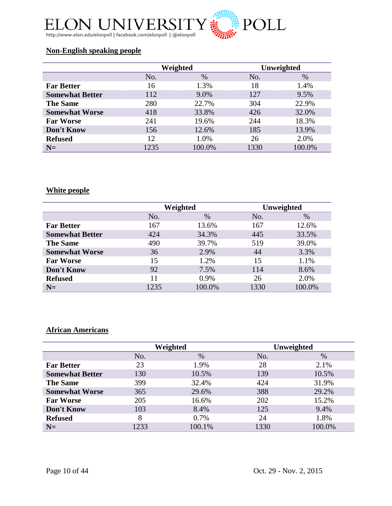

# **Non-English speaking people**

|                        | Weighted |        | Unweighted |        |
|------------------------|----------|--------|------------|--------|
|                        | No.      | $\%$   | No.        | $\%$   |
| <b>Far Better</b>      | 16       | 1.3%   | 18         | 1.4%   |
| <b>Somewhat Better</b> | 112      | 9.0%   | 127        | 9.5%   |
| <b>The Same</b>        | 280      | 22.7%  | 304        | 22.9%  |
| <b>Somewhat Worse</b>  | 418      | 33.8%  | 426        | 32.0%  |
| <b>Far Worse</b>       | 241      | 19.6%  | 244        | 18.3%  |
| Don't Know             | 156      | 12.6%  | 185        | 13.9%  |
| <b>Refused</b>         | 12       | 1.0%   | 26         | 2.0%   |
| $N=$                   | 1235     | 100.0% | 1330       | 100.0% |

# **White people**

|                        | Weighted |        | Unweighted |        |
|------------------------|----------|--------|------------|--------|
|                        | No.      | $\%$   | No.        | $\%$   |
| <b>Far Better</b>      | 167      | 13.6%  | 167        | 12.6%  |
| <b>Somewhat Better</b> | 424      | 34.3%  | 445        | 33.5%  |
| <b>The Same</b>        | 490      | 39.7%  | 519        | 39.0%  |
| <b>Somewhat Worse</b>  | 36       | 2.9%   | 44         | 3.3%   |
| <b>Far Worse</b>       | 15       | 1.2%   | 15         | 1.1%   |
| Don't Know             | 92       | 7.5%   | 114        | 8.6%   |
| <b>Refused</b>         | 11       | 0.9%   | 26         | 2.0%   |
| $N=$                   | 1235     | 100.0% | 1330       | 100.0% |

# **African Americans**

|                        |      | Weighted |      | Unweighted |
|------------------------|------|----------|------|------------|
|                        | No.  | $\%$     | No.  | $\%$       |
| <b>Far Better</b>      | 23   | 1.9%     | 28   | 2.1%       |
| <b>Somewhat Better</b> | 130  | 10.5%    | 139  | 10.5%      |
| <b>The Same</b>        | 399  | 32.4%    | 424  | 31.9%      |
| <b>Somewhat Worse</b>  | 365  | 29.6%    | 388  | 29.2%      |
| <b>Far Worse</b>       | 205  | 16.6%    | 202  | 15.2%      |
| Don't Know             | 103  | 8.4%     | 125  | 9.4%       |
| <b>Refused</b>         | 8    | 0.7%     | 24   | 1.8%       |
| $N=$                   | 1233 | 100.1%   | 1330 | 100.0%     |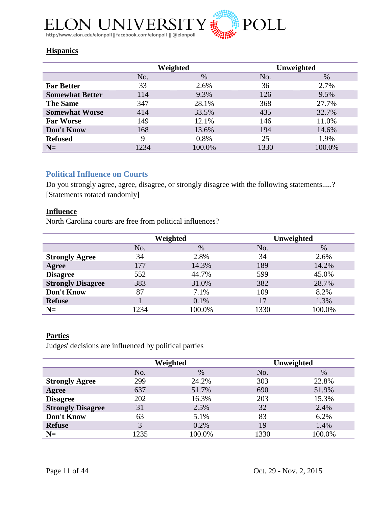

# **Hispanics**

|                        |      | Weighted |      | Unweighted |
|------------------------|------|----------|------|------------|
|                        | No.  | $\%$     | No.  | $\%$       |
| <b>Far Better</b>      | 33   | 2.6%     | 36   | 2.7%       |
| <b>Somewhat Better</b> | 114  | 9.3%     | 126  | 9.5%       |
| <b>The Same</b>        | 347  | 28.1%    | 368  | 27.7%      |
| <b>Somewhat Worse</b>  | 414  | 33.5%    | 435  | 32.7%      |
| <b>Far Worse</b>       | 149  | 12.1%    | 146  | 11.0%      |
| Don't Know             | 168  | 13.6%    | 194  | 14.6%      |
| <b>Refused</b>         | 9    | 0.8%     | 25   | 1.9%       |
| $N=$                   | 1234 | 100.0%   | 1330 | 100.0%     |

# <span id="page-10-0"></span>**Political Influence on Courts**

Do you strongly agree, agree, disagree, or strongly disagree with the following statements.....? [Statements rotated randomly]

## **Influence**

North Carolina courts are free from political influences?

|                          |      | Weighted |      | Unweighted |
|--------------------------|------|----------|------|------------|
|                          | No.  | $\%$     | No.  | $\%$       |
| <b>Strongly Agree</b>    | 34   | 2.8%     | 34   | 2.6%       |
| Agree                    | 177  | 14.3%    | 189  | 14.2%      |
| <b>Disagree</b>          | 552  | 44.7%    | 599  | 45.0%      |
| <b>Strongly Disagree</b> | 383  | 31.0%    | 382  | 28.7%      |
| Don't Know               | 87   | 7.1%     | 109  | 8.2%       |
| <b>Refuse</b>            |      | 0.1%     | 17   | 1.3%       |
| $N=$                     | 1234 | 100.0%   | 1330 | 100.0%     |

# **Parties**

Judges' decisions are influenced by political parties

|                          |      | Weighted |      | Unweighted |
|--------------------------|------|----------|------|------------|
|                          | No.  | $\%$     | No.  | $\%$       |
| <b>Strongly Agree</b>    | 299  | 24.2%    | 303  | 22.8%      |
| Agree                    | 637  | 51.7%    | 690  | 51.9%      |
| <b>Disagree</b>          | 202  | 16.3%    | 203  | 15.3%      |
| <b>Strongly Disagree</b> | 31   | 2.5%     | 32   | 2.4%       |
| Don't Know               | 63   | 5.1%     | 83   | 6.2%       |
| <b>Refuse</b>            | 3    | 0.2%     | 19   | 1.4%       |
| $N=$                     | 1235 | 100.0%   | 1330 | 100.0%     |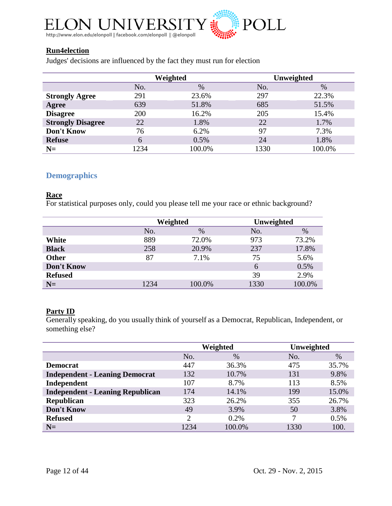

## **Run4election**

Judges' decisions are influenced by the fact they must run for election

|                          |      | Weighted |      | Unweighted |
|--------------------------|------|----------|------|------------|
|                          | No.  | $\%$     | No.  | $\%$       |
| <b>Strongly Agree</b>    | 291  | 23.6%    | 297  | 22.3%      |
| Agree                    | 639  | 51.8%    | 685  | 51.5%      |
| <b>Disagree</b>          | 200  | 16.2%    | 205  | 15.4%      |
| <b>Strongly Disagree</b> | 22   | 1.8%     | 22   | 1.7%       |
| Don't Know               | 76   | 6.2%     | 97   | 7.3%       |
| <b>Refuse</b>            | 6    | 0.5%     | 24   | 1.8%       |
| $N=$                     | 1234 | 100.0%   | 1330 | 100.0%     |

# <span id="page-11-0"></span>**Demographics**

#### **Race**

For statistical purposes only, could you please tell me your race or ethnic background?

|                |      | Weighted |      | Unweighted |
|----------------|------|----------|------|------------|
|                | No.  | $\%$     | No.  | $\%$       |
| White          | 889  | 72.0%    | 973  | 73.2%      |
| <b>Black</b>   | 258  | 20.9%    | 237  | 17.8%      |
| <b>Other</b>   | 87   | 7.1%     | 75   | 5.6%       |
| Don't Know     |      |          | 6    | 0.5%       |
| <b>Refused</b> |      |          | 39   | 2.9%       |
| $N=$           | 1234 | 100.0%   | 1330 | 100.0%     |

#### **Party ID**

Generally speaking, do you usually think of yourself as a Democrat, Republican, Independent, or something else?

|                                         | Weighted       |        | Unweighted |       |
|-----------------------------------------|----------------|--------|------------|-------|
|                                         | No.            | $\%$   | No.        | $\%$  |
| <b>Democrat</b>                         | 447            | 36.3%  | 475        | 35.7% |
| <b>Independent - Leaning Democrat</b>   | 132            | 10.7%  | 131        | 9.8%  |
| Independent                             | 107            | 8.7%   | 113        | 8.5%  |
| <b>Independent - Leaning Republican</b> | 174            | 14.1%  | 199        | 15.0% |
| Republican                              | 323            | 26.2%  | 355        | 26.7% |
| Don't Know                              | 49             | 3.9%   | 50         | 3.8%  |
| <b>Refused</b>                          | $\overline{2}$ | 0.2%   | 7          | 0.5%  |
| $N=$                                    | 1234           | 100.0% | 1330       | 100.  |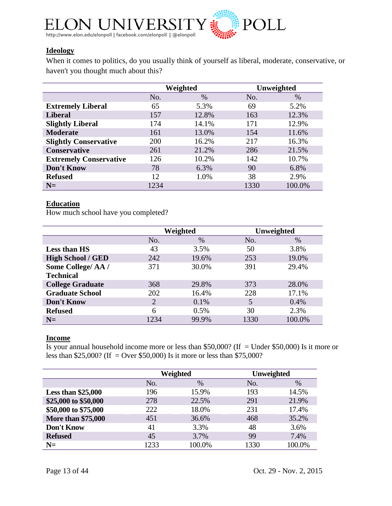

## **Ideology**

When it comes to politics, do you usually think of yourself as liberal, moderate, conservative, or haven't you thought much about this?

|                               |      | Weighted |      | Unweighted |
|-------------------------------|------|----------|------|------------|
|                               | No.  | $\%$     | No.  | $\%$       |
| <b>Extremely Liberal</b>      | 65   | 5.3%     | 69   | 5.2%       |
| <b>Liberal</b>                | 157  | 12.8%    | 163  | 12.3%      |
| <b>Slightly Liberal</b>       | 174  | 14.1%    | 171  | 12.9%      |
| <b>Moderate</b>               | 161  | 13.0%    | 154  | 11.6%      |
| <b>Slightly Conservative</b>  | 200  | 16.2%    | 217  | 16.3%      |
| <b>Conservative</b>           | 261  | 21.2%    | 286  | 21.5%      |
| <b>Extremely Conservative</b> | 126  | 10.2%    | 142  | 10.7%      |
| Don't Know                    | 78   | 6.3%     | 90   | 6.8%       |
| <b>Refused</b>                | 12   | 1.0%     | 38   | 2.9%       |
| $N=$                          | 1234 |          | 1330 | 100.0%     |

#### **Education**

How much school have you completed?

|                          |      | Weighted |      | Unweighted |
|--------------------------|------|----------|------|------------|
|                          | No.  | $\%$     | No.  | $\%$       |
| <b>Less than HS</b>      | 43   | 3.5%     | 50   | 3.8%       |
| <b>High School / GED</b> | 242  | 19.6%    | 253  | 19.0%      |
| Some College/AA/         | 371  | 30.0%    | 391  | 29.4%      |
| <b>Technical</b>         |      |          |      |            |
| <b>College Graduate</b>  | 368  | 29.8%    | 373  | 28.0%      |
| <b>Graduate School</b>   | 202  | 16.4%    | 228  | 17.1%      |
| Don't Know               | 2    | 0.1%     | 5    | 0.4%       |
| <b>Refused</b>           | 6    | 0.5%     | 30   | 2.3%       |
| $N=$                     | 1234 | 99.9%    | 1330 | 100.0%     |

#### **Income**

Is your annual household income more or less than \$50,000? (If = Under \$50,000) Is it more or less than \$25,000? (If = Over \$50,000) Is it more or less than \$75,000?

|                           |      | Weighted | <b>Unweighted</b> |        |  |
|---------------------------|------|----------|-------------------|--------|--|
|                           | No.  | $\%$     | No.               | $\%$   |  |
| <b>Less than \$25,000</b> | 196  | 15.9%    | 193               | 14.5%  |  |
| \$25,000 to \$50,000      | 278  | 22.5%    | 291               | 21.9%  |  |
| \$50,000 to \$75,000      | 222  | 18.0%    | 231               | 17.4%  |  |
| <b>More than \$75,000</b> | 451  | 36.6%    | 468               | 35.2%  |  |
| Don't Know                | 41   | 3.3%     | 48                | 3.6%   |  |
| <b>Refused</b>            | 45   | 3.7%     | 99                | 7.4%   |  |
| $N=$                      | 1233 | 100.0%   | 1330              | 100.0% |  |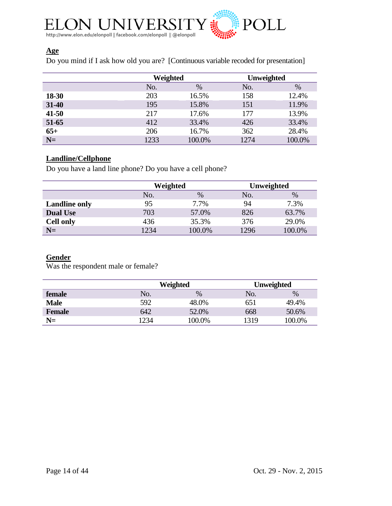

# **Age**

Do you mind if I ask how old you are? [Continuous variable recoded for presentation]

|           | Weighted |        | <b>Unweighted</b> |        |  |
|-----------|----------|--------|-------------------|--------|--|
|           | No.      | $\%$   | No.               | %      |  |
| 18-30     | 203      | 16.5%  | 158               | 12.4%  |  |
| $31 - 40$ | 195      | 15.8%  | 151               | 11.9%  |  |
| $41 - 50$ | 217      | 17.6%  | 177               | 13.9%  |  |
| $51-65$   | 412      | 33.4%  | 426               | 33.4%  |  |
| $65+$     | 206      | 16.7%  | 362               | 28.4%  |  |
| $N=$      | 1233     | 100.0% | 1274              | 100.0% |  |

# **Landline/Cellphone**

Do you have a land line phone? Do you have a cell phone?

|                      | Weighted |        | Unweighted |        |  |
|----------------------|----------|--------|------------|--------|--|
|                      | No.      | $\%$   |            | $\%$   |  |
| <b>Landline only</b> | 95       | 7.7%   | 94         | 7.3%   |  |
| <b>Dual Use</b>      | 703      | 57.0%  | 826        | 63.7%  |  |
| <b>Cell only</b>     | 436      | 35.3%  | 376        | 29.0%  |  |
| $N=$                 | 1234     | 100.0% | 1296       | 100.0% |  |

# **Gender**

Was the respondent male or female?

|               |     | Weighted |      | <b>Unweighted</b> |
|---------------|-----|----------|------|-------------------|
| female        | No. | %        | No.  | $\%$              |
| <b>Male</b>   | 592 | 48.0%    | 651  | 49.4%             |
| <b>Female</b> | 642 | 52.0%    | 668  | 50.6%             |
| $N=$          | 234 | 100.0%   | 1319 | 100.0%            |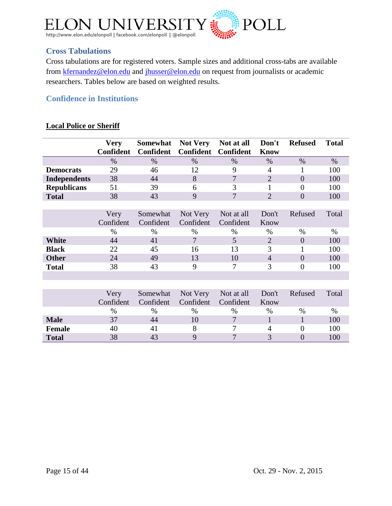

# <span id="page-14-0"></span>**Cross Tabulations**

Cross tabulations are for registered voters. Sample sizes and additional cross-tabs are available from [kfernandez@elon.edu](mailto:kfernandez@elon.edu) and [jhusser@elon.edu](mailto:jhusser@elon.edu) on request from journalists or academic researchers. Tables below are based on weighted results.

# <span id="page-14-1"></span>**Confidence in Institutions**

## **Local Police or Sheriff**

|                     | <b>Very</b><br>Confident | Somewhat<br><b>Confident</b> | <b>Not Very</b><br><b>Confident</b> | Not at all<br><b>Confident</b> | Don't<br><b>Know</b> | <b>Refused</b>   | <b>Total</b> |
|---------------------|--------------------------|------------------------------|-------------------------------------|--------------------------------|----------------------|------------------|--------------|
|                     | $\%$                     | $\%$                         | $\%$                                | $\%$                           | $\%$                 | $\%$             | $\%$         |
| <b>Democrats</b>    | 29                       | 46                           | 12                                  | 9                              | 4                    | 1                | 100          |
| <b>Independents</b> | 38                       | 44                           | 8                                   | $\tau$                         | $\overline{2}$       | $\overline{0}$   | 100          |
| <b>Republicans</b>  | 51                       | 39                           | 6                                   | 3                              | 1                    | 0                | 100          |
| <b>Total</b>        | 38                       | 43                           | 9                                   | 7                              | $\overline{2}$       | $\overline{0}$   | 100          |
|                     |                          |                              |                                     |                                |                      |                  |              |
|                     | Very                     | Somewhat                     | Not Very                            | Not at all                     | Don't                | Refused          | Total        |
|                     | Confident                | Confident                    | Confident                           | Confident                      | Know                 |                  |              |
|                     | $\%$                     | $\%$                         | %                                   | $\%$                           | $\%$                 | $\%$             | $\%$         |
| <b>White</b>        | 44                       | 41                           | 7                                   | 5                              | $\overline{2}$       | $\overline{0}$   | 100          |
| <b>Black</b>        | 22                       | 45                           | 16                                  | 13                             | 3                    | 1                | 100          |
| <b>Other</b>        | 24                       | 49                           | 13                                  | 10                             | $\overline{4}$       | $\overline{0}$   | 100          |
| <b>Total</b>        | 38                       | 43                           | 9                                   | 7                              | 3                    | $\boldsymbol{0}$ | 100          |
|                     |                          |                              |                                     |                                |                      |                  |              |
|                     |                          |                              |                                     |                                |                      |                  |              |
|                     | Very                     | Somewhat                     | Not Very                            | Not at all                     | Don't                | Refused          | Total        |
|                     | Confident                | Confident                    | Confident                           | Confident                      | Know                 |                  |              |
|                     | %                        | $\%$                         | $\%$                                | $\%$                           | $\%$                 | $\%$             | $\%$         |
| <b>Male</b>         | 37                       | 44                           | 10                                  | 7                              | 1                    | 1                | 100          |
| <b>Female</b>       | 40                       | 41                           | 8                                   | 7                              | 4                    | $\overline{0}$   | 100          |
| <b>Total</b>        | 38                       | 43                           | 9                                   | $\overline{7}$                 | 3                    | $\theta$         | 100          |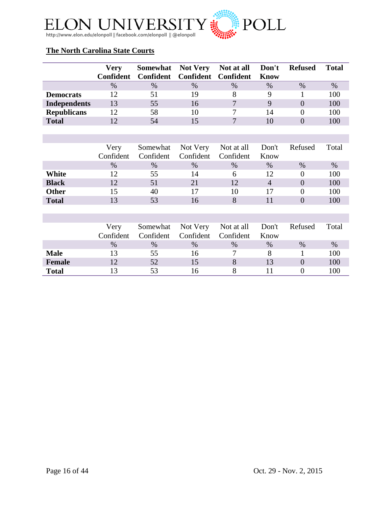

# **The North Carolina State Courts**

|                     | <b>Very</b> |                               |      | Somewhat Not Very Not at all Don't |      | <b>Refused</b> | <b>Total</b> |
|---------------------|-------------|-------------------------------|------|------------------------------------|------|----------------|--------------|
|                     | Confident   | Confident Confident Confident |      |                                    | Know |                |              |
|                     | $\%$        | $\%$                          | $\%$ | $\frac{0}{0}$                      | $\%$ | $\%$           | $\%$         |
| <b>Democrats</b>    |             | 51                            | 19   |                                    |      |                | 100          |
| <b>Independents</b> | 13          | 55                            | 16   |                                    | Q    |                | 100          |
| <b>Republicans</b>  |             | 58                            | 10   |                                    | 14   |                | 100          |
| <b>Total</b>        |             | 54                            |      | $\overline{\phantom{0}}$           |      |                | 100          |

|              | Very      |      |                               | Somewhat Not Very Not at all Don't Refused |                 |      | Total |
|--------------|-----------|------|-------------------------------|--------------------------------------------|-----------------|------|-------|
|              | Confident |      | Confident Confident Confident |                                            | <b>K</b> now    |      |       |
|              | $\%$      | $\%$ | $\%$                          | $\%$                                       | $\%$            | $\%$ | $\%$  |
| White        | 12        | 55   | 14                            | h                                          | 12 <sup>°</sup> |      | 100   |
| <b>Black</b> | 1つ        | 51   |                               |                                            |                 |      | 100   |
| <b>Other</b> |           | 40   |                               | 10                                         | 17              |      | 100   |
| <b>Total</b> |           | 53   |                               |                                            |                 |      |       |

|               | Very<br>Confident | Confident     | Confident Confident | Somewhat Not Very Not at all Don't Refused | Know |      | Total |
|---------------|-------------------|---------------|---------------------|--------------------------------------------|------|------|-------|
|               | $\%$              | $\frac{0}{0}$ | $\frac{0}{0}$       | $\%$                                       | $\%$ | $\%$ | $\%$  |
| <b>Male</b>   |                   | 55            | 16                  |                                            |      |      | 100   |
| <b>Female</b> |                   | 52            |                     |                                            |      |      | 100   |
| <b>Total</b>  |                   | 53            | 16                  |                                            |      |      | 100   |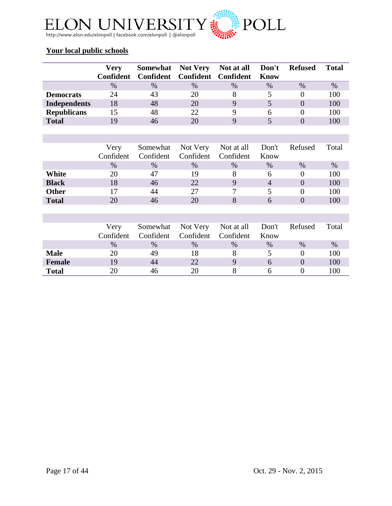

# **Your local public schools**

|                     | Very      |                               |      | Somewhat Not Very Not at all Don't |      | <b>Refused</b> | Total |
|---------------------|-----------|-------------------------------|------|------------------------------------|------|----------------|-------|
|                     | Confident | Confident Confident Confident |      |                                    | Know |                |       |
|                     | $\%$      | $\frac{0}{0}$                 | $\%$ | $\%$                               | $\%$ | $\%$           | $\%$  |
| <b>Democrats</b>    | 24        | 43                            | 20   |                                    |      |                | 100   |
| <b>Independents</b> | 18        | 48                            | 20   | Q                                  |      |                | 100   |
| <b>Republicans</b>  |           | 48                            | 22   |                                    |      |                | 100   |
| <b>Total</b>        |           | 46                            | 20   |                                    |      |                |       |

|              | Very<br>Confident | Confident | Confident Confident | Somewhat Not Very Not at all Don't Refused | Know |      | Total |
|--------------|-------------------|-----------|---------------------|--------------------------------------------|------|------|-------|
|              | $\%$              | $\%$      | $\%$                | $\%$                                       | $\%$ | $\%$ | $\%$  |
| White        | 20                |           | 19                  |                                            |      |      | 100   |
| <b>Black</b> |                   | 46        | 22                  |                                            |      |      | 100   |
| <b>Other</b> |                   | 44        | 27                  | 7                                          |      |      | 100   |
| <b>Total</b> |                   |           |                     |                                            |      |      |       |

|               | Very<br>Confident | Confident     | Confident Confident | Somewhat Not Very Not at all Don't | Know | Refused | Total |
|---------------|-------------------|---------------|---------------------|------------------------------------|------|---------|-------|
|               | $\%$              | $\frac{0}{0}$ | $\%$                | $\frac{0}{0}$                      | $\%$ | $\%$    | $\%$  |
| <b>Male</b>   | 20                | 49            | 18                  |                                    |      |         | 100   |
| <b>Female</b> | 19                | 44            | 22.                 | Q                                  |      |         | 100   |
| <b>Total</b>  | 20.               |               |                     |                                    |      |         | 100   |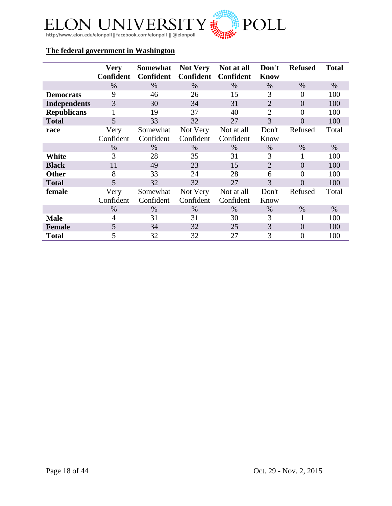

# **The federal government in Washington**

|                     | <b>Very</b><br><b>Confident</b> | Somewhat<br><b>Confident</b> | <b>Not Very</b><br><b>Confident</b> | Not at all<br>Confident | Don't<br><b>Know</b> | <b>Refused</b> | <b>Total</b> |
|---------------------|---------------------------------|------------------------------|-------------------------------------|-------------------------|----------------------|----------------|--------------|
|                     | $\%$                            | $\%$                         | $\%$                                | $\%$                    | $\%$                 | $\%$           | $\%$         |
| <b>Democrats</b>    | 9                               | 46                           | 26                                  | 15                      | 3                    | 0              | 100          |
| <b>Independents</b> | 3                               | 30                           | 34                                  | 31                      | $\overline{2}$       | $\theta$       | 100          |
| <b>Republicans</b>  |                                 | 19                           | 37                                  | 40                      | $\overline{2}$       | 0              | 100          |
| <b>Total</b>        | 5                               | 33                           | 32                                  | 27                      | 3                    | $\overline{0}$ | 100          |
| race                | Very                            | Somewhat                     | Not Very                            | Not at all              | Don't                | Refused        | Total        |
|                     | Confident                       | Confident                    | Confident                           | Confident               | Know                 |                |              |
|                     | $\%$                            | $\%$                         | $\%$                                | $\%$                    | $\%$                 | $\%$           | $\%$         |
| White               | 3                               | 28                           | 35                                  | 31                      | 3                    |                | 100          |
| <b>Black</b>        | 11                              | 49                           | 23                                  | 15                      | $\overline{2}$       | $\Omega$       | 100          |
| <b>Other</b>        | 8                               | 33                           | 24                                  | 28                      | 6                    | 0              | 100          |
| <b>Total</b>        | 5                               | 32                           | 32                                  | 27                      | 3                    | $\theta$       | 100          |
| female              | Very                            | Somewhat                     | Not Very                            | Not at all              | Don't                | Refused        | Total        |
|                     | Confident                       | Confident                    | Confident                           | Confident               | Know                 |                |              |
|                     | $\%$                            | $\%$                         | $\%$                                | $\%$                    | $\%$                 | $\%$           | $\%$         |
| <b>Male</b>         | 4                               | 31                           | 31                                  | 30                      | 3                    |                | 100          |
| <b>Female</b>       | 5                               | 34                           | 32                                  | 25                      | 3                    | $\Omega$       | 100          |
| <b>Total</b>        | 5                               | 32                           | 32                                  | 27                      | 3                    | 0              | 100          |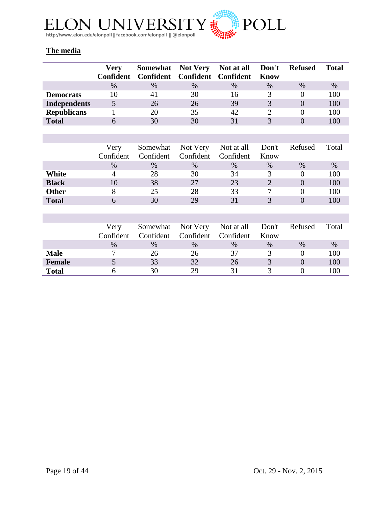

# **The media**

|                     | <b>Verv</b> |                       |                               | Somewhat Not Very Not at all Don't |      | <b>Refused</b> | <b>Total</b> |
|---------------------|-------------|-----------------------|-------------------------------|------------------------------------|------|----------------|--------------|
|                     | Confident   |                       | Confident Confident Confident |                                    | Know |                |              |
|                     | $\%$        | $\%$                  | $\%$                          | $\%$                               | $\%$ | $\%$           | $\%$         |
| <b>Democrats</b>    |             | $\mathcal{A}^{\cdot}$ | 30                            | 16                                 |      |                | 100          |
| <b>Independents</b> |             | 26                    | 26                            | 39                                 |      |                | 100          |
| <b>Republicans</b>  |             | 20                    | 35                            | 42                                 |      |                | 100          |
| <b>Total</b>        |             | 30                    | 30                            | 31                                 |      |                |              |

|              | Very<br>Confident | Confident | Confident Confident | Somewhat Not Very Not at all Don't Refused | Know |      | Total |
|--------------|-------------------|-----------|---------------------|--------------------------------------------|------|------|-------|
|              | $\%$              | $\%$      | $\%$                | $\%$                                       | $\%$ | $\%$ | $\%$  |
| White        |                   | 28        | 30                  | 34                                         |      |      | 100   |
| <b>Black</b> |                   | 38        | 27                  | 23                                         |      |      | 100   |
| <b>Other</b> |                   | 25        | 28                  | 33                                         |      |      | 100   |
| <b>Total</b> |                   |           | 29                  | 31                                         |      |      |       |

|               | Very<br>Confident | Confident     | Confident Confident | Somewhat Not Very Not at all Don't | Know | Refused       | Total |
|---------------|-------------------|---------------|---------------------|------------------------------------|------|---------------|-------|
|               | $\%$              | $\frac{0}{0}$ | $\%$                | $\frac{0}{0}$                      | $\%$ | $\frac{0}{0}$ | $\%$  |
| <b>Male</b>   |                   | 26            | 26                  | 37                                 |      |               | 100   |
| <b>Female</b> |                   | 33            | 32                  | 26                                 |      |               | 100   |
| <b>Total</b>  |                   | 30            | 29                  | 31                                 |      |               | 100   |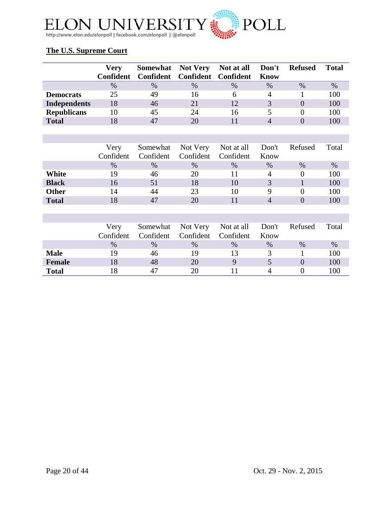

# **The U.S. Supreme Court**

|                     | <b>Very</b> |                               |      | Somewhat Not Very Not at all Don't |      | <b>Refused</b> | <b>Total</b> |
|---------------------|-------------|-------------------------------|------|------------------------------------|------|----------------|--------------|
|                     | Confident   | Confident Confident Confident |      |                                    | Know |                |              |
|                     | $\%$        | $\%$                          | $\%$ | $\frac{0}{0}$                      | $\%$ | $\%$           | $\%$         |
| <b>Democrats</b>    | 25          | 49                            | 16   | h                                  |      |                | 100          |
| <b>Independents</b> | 18          | 46                            | 21   | 12                                 |      |                | 100          |
| <b>Republicans</b>  | 10          | 45                            | 24   | 16                                 |      |                | 100          |
| <b>Total</b>        |             | $4^{\circ}$                   | 20   |                                    |      |                | 100          |

|              | Very      |      |                               | Somewhat Not Very Not at all Don't Refused |      |      | Total |
|--------------|-----------|------|-------------------------------|--------------------------------------------|------|------|-------|
|              | Confident |      | Confident Confident Confident |                                            | Know |      |       |
|              | $\%$      | $\%$ | $\%$                          | $\%$                                       | $\%$ | $\%$ | $\%$  |
| White        | 19        | 46   | 20                            |                                            | 4    |      | 100   |
| <b>Black</b> | 16        | 51   | 18                            | 10                                         |      |      | 100   |
| <b>Other</b> | 14        | 44   | 23                            | 10                                         |      |      | 100   |
| <b>Total</b> |           |      |                               |                                            |      |      |       |

|               | Very<br>Confident | Confident     | Confident Confident | Somewhat Not Very Not at all Don't | Know | Refused | Total |
|---------------|-------------------|---------------|---------------------|------------------------------------|------|---------|-------|
|               | $\%$              | $\frac{0}{0}$ | $\frac{0}{0}$       | $\frac{0}{0}$                      | $\%$ | $\%$    | $\%$  |
| <b>Male</b>   | 19                | 46            | 19                  | 13                                 |      |         | 100   |
| <b>Female</b> |                   | 48            | 20                  |                                    |      |         | 100   |
| <b>Total</b>  |                   | 47            |                     |                                    |      |         | 100   |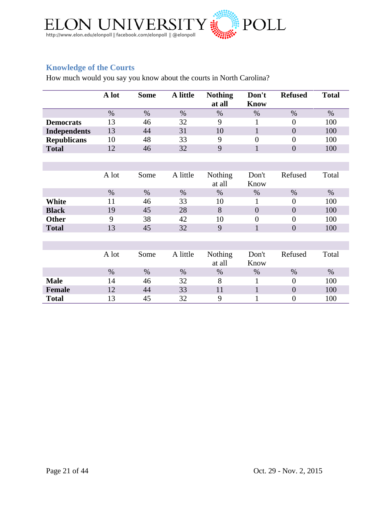

# <span id="page-20-0"></span>**Knowledge of the Courts**

How much would you say you know about the courts in North Carolina?

|                     | A lot | <b>Some</b> | A little | <b>Nothing</b><br>at all | Don't<br><b>Know</b> | <b>Refused</b>   | <b>Total</b> |
|---------------------|-------|-------------|----------|--------------------------|----------------------|------------------|--------------|
|                     | $\%$  | $\%$        | $\%$     | $\%$                     | $\%$                 | $\%$             | $\%$         |
| <b>Democrats</b>    | 13    | 46          | 32       | 9                        | 1                    | $\overline{0}$   | 100          |
| <b>Independents</b> | 13    | 44          | 31       | 10                       | $\mathbf{1}$         | $\overline{0}$   | 100          |
| <b>Republicans</b>  | 10    | 48          | 33       | 9                        | $\overline{0}$       | $\overline{0}$   | 100          |
| <b>Total</b>        | 12    | 46          | 32       | 9                        | $\mathbf{1}$         | $\overline{0}$   | 100          |
|                     |       |             |          |                          |                      |                  |              |
|                     |       |             |          |                          |                      |                  |              |
|                     | A lot | Some        | A little | <b>Nothing</b>           | Don't                | Refused          | Total        |
|                     |       |             |          | at all                   | Know                 |                  |              |
|                     | $\%$  | $\%$        | $\%$     | $\%$                     | $\%$                 | $\%$             | $\%$         |
| White               | 11    | 46          | 33       | 10                       | 1                    | $\overline{0}$   | 100          |
| <b>Black</b>        | 19    | 45          | 28       | 8                        | $\overline{0}$       | $\overline{0}$   | 100          |
| Other               | 9     | 38          | 42       | 10                       | $\boldsymbol{0}$     | $\overline{0}$   | 100          |
| <b>Total</b>        | 13    | 45          | 32       | 9                        | $\mathbf{1}$         | $\overline{0}$   | 100          |
|                     |       |             |          |                          |                      |                  |              |
|                     |       |             |          |                          |                      |                  |              |
|                     | A lot | Some        | A little | Nothing                  | Don't                | Refused          | Total        |
|                     |       |             |          | at all                   | Know                 |                  |              |
|                     | $\%$  | $\%$        | $\%$     | %                        | %                    | $\%$             | $\%$         |
| <b>Male</b>         | 14    | 46          | 32       | 8                        | $\mathbf{1}$         | $\overline{0}$   | 100          |
| <b>Female</b>       | 12    | 44          | 33       | 11                       | $\mathbf{1}$         | $\boldsymbol{0}$ | 100          |
| <b>Total</b>        | 13    | 45          | 32       | 9                        | 1                    | $\overline{0}$   | 100          |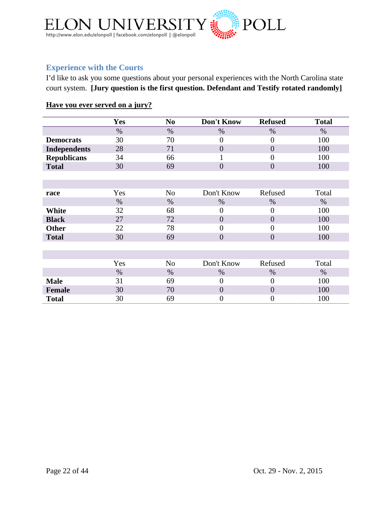

# <span id="page-21-0"></span>**Experience with the Courts**

I'd like to ask you some questions about your personal experiences with the North Carolina state court system. **[Jury question is the first question. Defendant and Testify rotated randomly]**

# **Have you ever served on a jury?**

|                     | Yes  | N <sub>0</sub> | Don't Know       | <b>Refused</b>   | <b>Total</b> |
|---------------------|------|----------------|------------------|------------------|--------------|
|                     | $\%$ | $\%$           | $\%$             | $\%$             | $\%$         |
| <b>Democrats</b>    | 30   | 70             | $\overline{0}$   | $\theta$         | 100          |
| <b>Independents</b> | 28   | 71             | $\overline{0}$   | $\overline{0}$   | 100          |
| <b>Republicans</b>  | 34   | 66             |                  | 0                | 100          |
| <b>Total</b>        | 30   | 69             | $\overline{0}$   | $\overline{0}$   | 100          |
|                     |      |                |                  |                  |              |
|                     |      |                |                  |                  |              |
| race                | Yes  | N <sub>o</sub> | Don't Know       | Refused          | Total        |
|                     | $\%$ | %              | %                | %                | $\%$         |
| White               | 32   | 68             | $\boldsymbol{0}$ | $\boldsymbol{0}$ | 100          |
| <b>Black</b>        | 27   | 72             | $\overline{0}$   | $\overline{0}$   | 100          |
| <b>Other</b>        | 22   | 78             | $\overline{0}$   | $\theta$         | 100          |
| <b>Total</b>        | 30   | 69             | $\overline{0}$   | $\overline{0}$   | 100          |
|                     |      |                |                  |                  |              |
|                     |      |                |                  |                  |              |
|                     | Yes  | N <sub>o</sub> | Don't Know       | Refused          | Total        |
|                     | $\%$ | %              | $\%$             | %                | $\%$         |
| <b>Male</b>         | 31   | 69             | $\Omega$         | $\theta$         | 100          |
| <b>Female</b>       | 30   | 70             | $\overline{0}$   | $\overline{0}$   | 100          |
| <b>Total</b>        | 30   | 69             | $\overline{0}$   | $\overline{0}$   | 100          |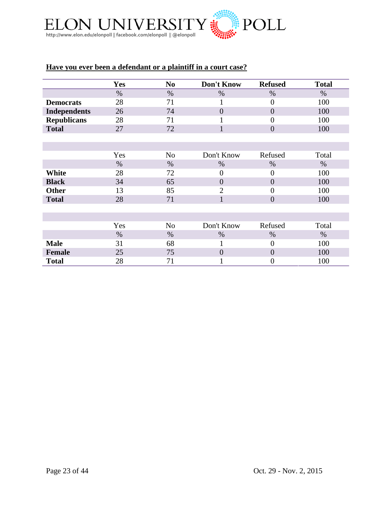

# **Have you ever been a defendant or a plaintiff in a court case?**

|                     | <b>Yes</b> | N <sub>0</sub> | Don't Know     | <b>Refused</b> | <b>Total</b> |
|---------------------|------------|----------------|----------------|----------------|--------------|
|                     | $\%$       | $\%$           | %              | $\%$           | $\%$         |
| <b>Democrats</b>    | 28         | 71             |                | $\overline{0}$ | 100          |
| <b>Independents</b> | 26         | 74             | $\overline{0}$ | $\overline{0}$ | 100          |
| <b>Republicans</b>  | 28         | 71             |                | $\theta$       | 100          |
| <b>Total</b>        | 27         | 72             | 1              | $\overline{0}$ | 100          |
|                     |            |                |                |                |              |
|                     |            |                |                |                |              |
|                     | Yes        | N <sub>o</sub> | Don't Know     | Refused        | Total        |
|                     | $\%$       | $\%$           | $\%$           | $\%$           | $\%$         |
| White               | 28         | 72             | $\overline{0}$ | $\theta$       | 100          |
| <b>Black</b>        | 34         | 65             | $\overline{0}$ | $\overline{0}$ | 100          |
| <b>Other</b>        | 13         | 85             | $\overline{2}$ | $\theta$       | 100          |
| <b>Total</b>        | 28         | 71             | 1              | $\overline{0}$ | 100          |
|                     |            |                |                |                |              |
|                     |            |                |                |                |              |
|                     | Yes        | N <sub>o</sub> | Don't Know     | Refused        | Total        |
|                     | $\%$       | $\%$           | %              | $\%$           | $\%$         |
| <b>Male</b>         | 31         | 68             |                | $\overline{0}$ | 100          |
| <b>Female</b>       | 25         | 75             | $\theta$       | $\overline{0}$ | 100          |
| <b>Total</b>        | 28         | 71             | ı              | $\overline{0}$ | 100          |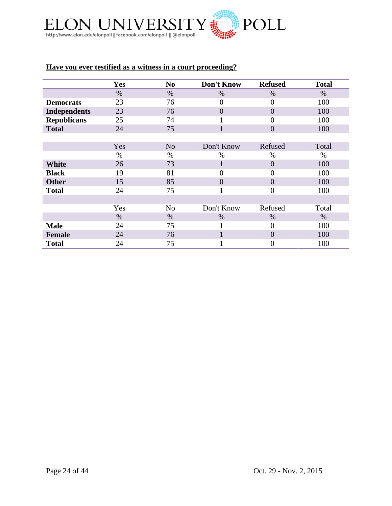

# **Have you ever testified as a witness in a court proceeding?**

|                     | Yes  | N <sub>0</sub> | Don't Know     | <b>Refused</b>   | <b>Total</b> |
|---------------------|------|----------------|----------------|------------------|--------------|
|                     | $\%$ | $\%$           | $\%$           | $\%$             | $\%$         |
| <b>Democrats</b>    | 23   | 76             | $\overline{0}$ | $\overline{0}$   | 100          |
| <b>Independents</b> | 23   | 76             | $\theta$       | $\overline{0}$   | 100          |
| <b>Republicans</b>  | 25   | 74             |                | $\theta$         | 100          |
| <b>Total</b>        | 24   | 75             | 1              | $\overline{0}$   | 100          |
|                     |      |                |                |                  |              |
|                     | Yes  | N <sub>o</sub> | Don't Know     | Refused          | Total        |
|                     | $\%$ | $\%$           | %              | $\%$             | $\%$         |
| <b>White</b>        | 26   | 73             | $\mathbf{1}$   | $\overline{0}$   | 100          |
| <b>Black</b>        | 19   | 81             | $\theta$       | $\theta$         | 100          |
| <b>Other</b>        | 15   | 85             | $\overline{0}$ | $\overline{0}$   | 100          |
| <b>Total</b>        | 24   | 75             | 1              | $\theta$         | 100          |
|                     |      |                |                |                  |              |
|                     | Yes  | N <sub>o</sub> | Don't Know     | Refused          | Total        |
|                     | $\%$ | $\%$           | $\%$           | $\%$             | $\%$         |
| <b>Male</b>         | 24   | 75             |                | $\theta$         | 100          |
| <b>Female</b>       | 24   | 76             |                | $\overline{0}$   | 100          |
| <b>Total</b>        | 24   | 75             |                | $\boldsymbol{0}$ | 100          |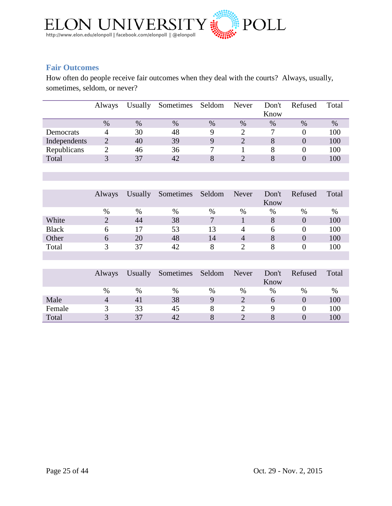

# <span id="page-24-0"></span>**Fair Outcomes**

How often do people receive fair outcomes when they deal with the courts? Always, usually, sometimes, seldom, or never?

|              | <b>Always</b> | Usually | Sometimes | Seldom | Never | Don't | Refused | Total |
|--------------|---------------|---------|-----------|--------|-------|-------|---------|-------|
|              |               |         |           |        |       | Know  |         |       |
|              | $\%$          | $\%$    | $\%$      | %      | $\%$  | $\%$  | $\%$    | $\%$  |
| Democrats    |               | 30      | 48        | Q      |       |       |         | 100   |
| Independents | 2             | 40      | 39        | Q      |       |       |         | 100   |
| Republicans  |               | 46      | 36        |        |       |       |         | 100   |
| Total        |               | 37      | 42        |        |       |       |         | 100   |

|              | <b>Always</b> | <b>Usually</b> | Sometimes | Seldom | Never | Don't<br>Know | Refused | Total |
|--------------|---------------|----------------|-----------|--------|-------|---------------|---------|-------|
|              | %             | %              | $\%$      | $\%$   | $\%$  | %             | $\%$    | %     |
| White        |               | 44             | 38        |        |       | 8             |         | 100   |
| <b>Black</b> |               | 17             | 53        | 13     | 4     | <sub>0</sub>  |         | 100   |
| Other        | h             | 20             | 48        | 14     | 4     |               |         | 100   |
| Total        | $\mathbf 3$   | 37             | 42        |        |       |               |         | 100   |

|        | <b>Always</b> | <b>Usually</b> | Sometimes Seldom |   | Never | Don't<br>Know | Refused | Total |
|--------|---------------|----------------|------------------|---|-------|---------------|---------|-------|
|        | $\%$          | %              | %                | % | %     | $\%$          | %       | $\%$  |
| Male   |               |                | 38               |   |       |               |         | 100   |
| Female |               | 33             | 45               |   |       |               |         | 100   |
| Total  |               | 27             | 42               |   |       |               |         | 100   |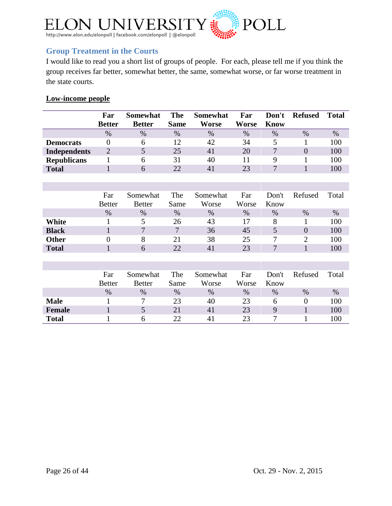

# <span id="page-25-0"></span>**Group Treatment in the Courts**

I would like to read you a short list of groups of people. For each, please tell me if you think the group receives far better, somewhat better, the same, somewhat worse, or far worse treatment in the state courts.

# **Low-income people**

|                     | Far           | Somewhat      | The             | Somewhat | Far   | Don't | <b>Refused</b> | Total |
|---------------------|---------------|---------------|-----------------|----------|-------|-------|----------------|-------|
|                     | <b>Better</b> | <b>Better</b> | <b>Same</b>     | Worse    | Worse | Know  |                |       |
|                     | $\%$          | $\%$          | %               | $\%$     | $\%$  | $\%$  | $\%$           | %     |
| <b>Democrats</b>    |               | h             | $\overline{12}$ | 42       | 34    |       |                | 100   |
| <b>Independents</b> |               |               | 25              | 41       | 20    |       |                | 100   |
| <b>Republicans</b>  |               | h             | 31              | 40       |       |       |                | 100   |
| <b>Total</b>        |               | h             | 22              | 41       | 23    |       |                | 100   |

|              | Far<br><b>Better</b> | Somewhat<br><b>Better</b> | The<br>Same | Somewhat<br>Worse | Far<br>Worse | Don't<br>Know | Refused | Total   |
|--------------|----------------------|---------------------------|-------------|-------------------|--------------|---------------|---------|---------|
|              | $\%$                 | $\%$                      | $\%$        | %                 | $\%$         | $\%$          | $\%$    | $\%$    |
| White        |                      |                           | 26          | 43                | 17           | 8             |         | 100     |
| <b>Black</b> |                      | ⇁                         | 7           | 36                | 45           |               | 0       | 100     |
| <b>Other</b> |                      |                           |             | 38                | 25           |               |         | 100     |
| <b>Total</b> |                      | h                         | 22          | $\mathbf{A}$      | 23           | −             |         | $100\,$ |

|               | Far<br><b>Better</b> | Somewhat<br><b>Better</b> | The<br>Same | Somewhat<br>Worse | Far<br>Worse | Don't<br>Know | Refused | Total |
|---------------|----------------------|---------------------------|-------------|-------------------|--------------|---------------|---------|-------|
|               | $\%$                 | %                         | $\%$        | $\%$              | $\%$         | %             | $\%$    | %     |
| <b>Male</b>   |                      | −                         | 23          | 40                | 23           | n             |         | 100   |
| <b>Female</b> |                      | J                         | 21          | $\mathbf{4}$      | 23           |               |         | 100   |
| <b>Total</b>  |                      | h                         | 22          | $\Delta$          | 23           |               |         | 100   |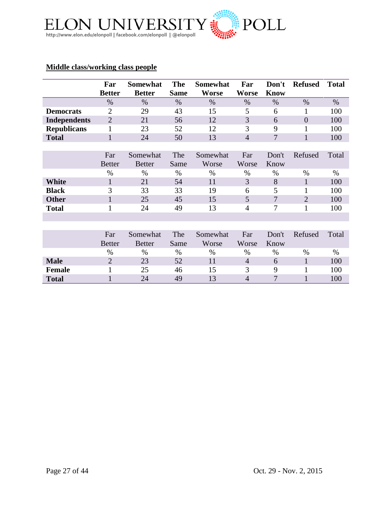

## **Middle class/working class people**

|                     | Far<br><b>Better</b> | <b>Somewhat</b><br><b>Better</b> | <b>The</b><br><b>Same</b> | <b>Somewhat</b><br><b>Worse</b> | Far<br>Worse   | Don't<br><b>Know</b> | <b>Refused</b> | <b>Total</b> |
|---------------------|----------------------|----------------------------------|---------------------------|---------------------------------|----------------|----------------------|----------------|--------------|
|                     | $\%$                 | $\%$                             | $\%$                      | $\%$                            | $\%$           | $\%$                 | $\%$           | $\%$         |
| <b>Democrats</b>    | 2                    | 29                               | 43                        | 15                              | 5              | 6                    | 1              | 100          |
| <b>Independents</b> | $\overline{2}$       | 21                               | 56                        | 12                              | 3              | 6                    | $\overline{0}$ | 100          |
| <b>Republicans</b>  | 1                    | 23                               | 52                        | 12                              | 3              | 9                    | 1              | 100          |
| <b>Total</b>        | 1                    | 24                               | 50                        | 13                              | $\overline{4}$ | 7                    | $\mathbf{1}$   | 100          |
|                     |                      |                                  |                           |                                 |                |                      |                |              |
|                     | Far                  | Somewhat                         | The                       | Somewhat                        | Far            | Don't                | Refused        | Total        |
|                     | <b>Better</b>        | <b>Better</b>                    | Same                      | Worse                           | Worse          | Know                 |                |              |
|                     | $\%$                 | $\%$                             | $\%$                      | $\%$                            | %              | $\%$                 | $\%$           | $\%$         |
| White               | $\mathbf{1}$         | 21                               | 54                        | 11                              | 3              | 8                    | 1              | 100          |
| <b>Black</b>        | 3                    | 33                               | 33                        | 19                              | 6              | 5                    |                | 100          |
| <b>Other</b>        | $\mathbf{1}$         | 25                               | 45                        | 15                              | 5              | 7                    | $\overline{2}$ | 100          |
| <b>Total</b>        | 1                    | 24                               | 49                        | 13                              | $\overline{4}$ | 7                    |                | 100          |
|                     |                      |                                  |                           |                                 |                |                      |                |              |
|                     |                      |                                  |                           |                                 |                |                      |                |              |
|                     | Far                  | Somewhat                         | The                       | Somewhat                        | Far            | Don't                | Refused        | Total        |
|                     | <b>Better</b>        | <b>Better</b>                    | Same                      | Worse                           | Worse          | Know                 |                |              |
|                     | $\%$                 | $\%$                             | $\%$                      | $\%$                            | $\%$           | $\%$                 | %              | $\%$         |
| <b>Male</b>         | $\overline{2}$       | 23                               | 52                        | 11                              | $\overline{4}$ | 6                    |                | 100          |

**Female** 1 25 46 15 3 9 1 100 **Total** 1 24 49 13 4 7 1 100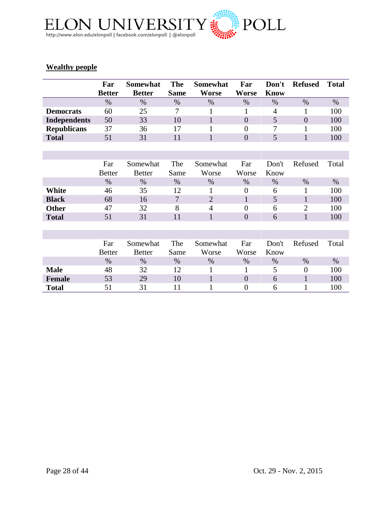

# **Wealthy people**

|                     | Far<br><b>Better</b> | <b>Somewhat</b><br><b>Better</b> | <b>The</b><br><b>Same</b> | <b>Somewhat</b><br><b>Worse</b> | Far<br><b>Worse</b> | Don't<br><b>Know</b> | <b>Refused</b> | <b>Total</b> |
|---------------------|----------------------|----------------------------------|---------------------------|---------------------------------|---------------------|----------------------|----------------|--------------|
|                     | $\%$                 | $\%$                             | %                         | $\%$                            | $\%$                | $\%$                 | $\%$           | $\%$         |
| <b>Democrats</b>    | 60                   | 25                               | 7                         | 1                               | 1                   | 4                    | 1              | 100          |
| <b>Independents</b> | 50                   | 33                               | 10                        | $\mathbf{1}$                    | $\overline{0}$      | 5                    | $\overline{0}$ | 100          |
| <b>Republicans</b>  | 37                   | 36                               | 17                        | 1                               | $\boldsymbol{0}$    | 7                    | 1              | 100          |
| <b>Total</b>        | 51                   | 31                               | 11                        | $\mathbf{1}$                    | $\overline{0}$      | 5                    | $\mathbf{1}$   | 100          |
|                     |                      |                                  |                           |                                 |                     |                      |                |              |
|                     |                      |                                  |                           |                                 |                     |                      |                |              |
|                     | Far                  | Somewhat                         | The                       | Somewhat                        | Far                 | Don't                | Refused        | Total        |
|                     | <b>Better</b>        | <b>Better</b>                    | Same                      | Worse                           | Worse               | Know                 |                |              |
|                     | $\%$                 | $\%$                             | $\%$                      | $\%$                            | $\%$                | $\%$                 | $\%$           | $\%$         |
| White               | 46                   | 35                               | 12                        | 1                               | $\overline{0}$      | 6                    | 1              | 100          |
| <b>Black</b>        | 68                   | 16                               | $\overline{7}$            | $\overline{2}$                  | $\mathbf{1}$        | 5                    | $\mathbf{1}$   | 100          |
| <b>Other</b>        | 47                   | 32                               | 8                         | $\overline{4}$                  | $\overline{0}$      | 6                    | $\overline{2}$ | 100          |
| <b>Total</b>        | 51                   | 31                               | 11                        | $\mathbf{1}$                    | $\overline{0}$      | 6                    | $\mathbf{1}$   | 100          |
|                     |                      |                                  |                           |                                 |                     |                      |                |              |
|                     |                      |                                  |                           |                                 |                     |                      |                |              |
|                     | Far                  | Somewhat                         | The                       | Somewhat                        | Far                 | Don't                | Refused        | Total        |
|                     | <b>Better</b>        | <b>Better</b>                    | Same                      | Worse                           | Worse               | Know                 |                |              |
|                     | $\%$                 | $\%$                             | $\%$                      | $\%$                            | $\%$                | $\%$                 | $\%$           | $\%$         |
| <b>Male</b>         | 48                   | 32                               | 12                        | 1                               | 1                   | 5                    | $\overline{0}$ | 100          |
| <b>Female</b>       | 53                   | 29                               | 10                        | $\mathbf{1}$                    | $\overline{0}$      | 6                    | $\mathbf{1}$   | 100          |
| <b>Total</b>        | 51                   | 31                               | 11                        |                                 | $\overline{0}$      | 6                    | 1              | 100          |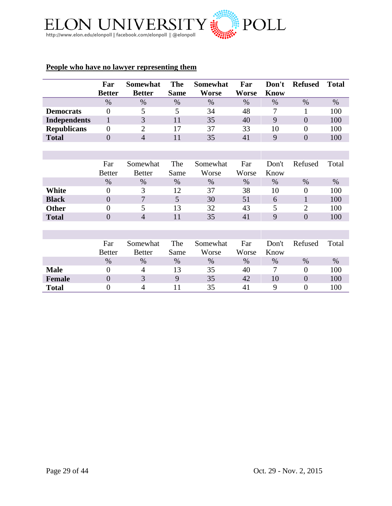

# **People who have no lawyer representing them**

|                     | Far            | <b>Somewhat</b> | <b>The</b>  | <b>Somewhat</b> | Far          | Don't       | <b>Refused</b> | <b>Total</b> |
|---------------------|----------------|-----------------|-------------|-----------------|--------------|-------------|----------------|--------------|
|                     | <b>Better</b>  | <b>Better</b>   | <b>Same</b> | <b>Worse</b>    | <b>Worse</b> | <b>Know</b> |                |              |
|                     | $\%$           | $\%$            | %           | $\%$            | $\%$         | $\%$        | $\%$           | $\%$         |
| <b>Democrats</b>    | $\theta$       | 5               | 5           | 34              | 48           | 7           | 1              | 100          |
| <b>Independents</b> | $\mathbf{1}$   | 3               | 11          | 35              | 40           | 9           | $\overline{0}$ | 100          |
| <b>Republicans</b>  | $\theta$       | $\overline{2}$  | 17          | 37              | 33           | 10          | $\theta$       | 100          |
| <b>Total</b>        | $\overline{0}$ | $\overline{4}$  | 11          | 35              | 41           | 9           | $\theta$       | 100          |
|                     |                |                 |             |                 |              |             |                |              |
|                     |                |                 |             |                 |              |             |                |              |
|                     | Far            | Somewhat        | The         | Somewhat        | Far          | Don't       | Refused        | Total        |
|                     | <b>Better</b>  | <b>Better</b>   | Same        | Worse           | Worse        | Know        |                |              |
|                     | $\%$           | $\%$            | $\%$        | $\%$            | $\%$         | $\%$        | $\%$           | $\%$         |
| White               | $\theta$       | 3               | 12          | 37              | 38           | 10          | $\theta$       | 100          |
| <b>Black</b>        | $\overline{0}$ | $\overline{7}$  | 5           | 30              | 51           | 6           | $\mathbf{1}$   | 100          |
| <b>Other</b>        | $\theta$       | 5               | 13          | 32              | 43           | 5           | $\overline{2}$ | 100          |
| <b>Total</b>        | $\overline{0}$ | $\overline{4}$  | 11          | 35              | 41           | 9           | $\overline{0}$ | 100          |
|                     |                |                 |             |                 |              |             |                |              |
|                     |                |                 |             |                 |              |             |                |              |
|                     | Far            | Somewhat        | The         | Somewhat        | Far          | Don't       | Refused        | Total        |
|                     | <b>Better</b>  | <b>Better</b>   | Same        | Worse           | Worse        | Know        |                |              |
|                     | $\%$           | $\%$            | $\%$        | $\%$            | $\%$         | $\%$        | $\%$           | $\%$         |
| <b>Male</b>         | $\theta$       | $\overline{4}$  | 13          | 35              | 40           | 7           | $\overline{0}$ | 100          |
| <b>Female</b>       | $\overline{0}$ | 3               | 9           | 35              | 42           | 10          | $\overline{0}$ | 100          |
| <b>Total</b>        | $\theta$       | $\overline{4}$  | 11          | 35              | 41           | 9           | $\theta$       | 100          |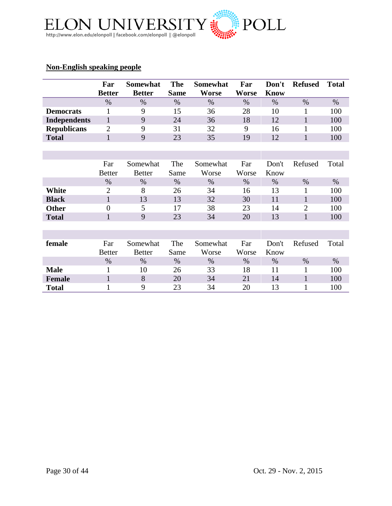

# **Non-English speaking people**

|                     | Far              | <b>Somewhat</b> | <b>The</b>  | <b>Somewhat</b> | Far          | Don't       | <b>Refused</b> | <b>Total</b> |
|---------------------|------------------|-----------------|-------------|-----------------|--------------|-------------|----------------|--------------|
|                     | <b>Better</b>    | <b>Better</b>   | <b>Same</b> | Worse           | <b>Worse</b> | <b>Know</b> |                |              |
|                     | $\%$             | $\%$            | $\%$        | $\%$            | $\%$         | $\%$        | $\%$           | $\%$         |
| <b>Democrats</b>    | 1                | 9               | 15          | 36              | 28           | 10          | 1              | 100          |
| <b>Independents</b> | $\mathbf{1}$     | 9               | 24          | 36              | 18           | 12          | $\mathbf{1}$   | 100          |
| <b>Republicans</b>  | $\overline{2}$   | 9               | 31          | 32              | 9            | 16          | 1              | 100          |
| <b>Total</b>        | $\mathbf{1}$     | 9               | 23          | 35              | 19           | 12          | $\mathbf{1}$   | 100          |
|                     |                  |                 |             |                 |              |             |                |              |
|                     |                  |                 |             |                 |              |             |                |              |
|                     | Far              | Somewhat        | The         | Somewhat        | Far          | Don't       | Refused        | Total        |
|                     | <b>Better</b>    | <b>Better</b>   | Same        | Worse           | Worse        | Know        |                |              |
|                     | $\%$             | $\%$            | $\%$        | $\%$            | $\%$         | $\%$        | $\%$           | $\%$         |
| White               | $\overline{2}$   | 8               | 26          | 34              | 16           | 13          | 1              | 100          |
| <b>Black</b>        | $\mathbf{1}$     | 13              | 13          | 32              | 30           | 11          | $\mathbf{1}$   | 100          |
| <b>Other</b>        | $\boldsymbol{0}$ | 5               | 17          | 38              | 23           | 14          | $\overline{2}$ | 100          |
| <b>Total</b>        | $\mathbf{1}$     | 9               | 23          | 34              | 20           | 13          | $\mathbf{1}$   | 100          |
|                     |                  |                 |             |                 |              |             |                |              |
|                     |                  |                 |             |                 |              |             |                |              |
| female              | Far              | Somewhat        | The         | Somewhat        | Far          | Don't       | Refused        | Total        |
|                     | <b>Better</b>    | <b>Better</b>   | Same        | Worse           | Worse        | Know        |                |              |
|                     | $\%$             | $\%$            | $\%$        | $\%$            | $\%$         | $\%$        | $\%$           | $\%$         |
| <b>Male</b>         | 1                | 10              | 26          | 33              | 18           | 11          | 1              | 100          |
| <b>Female</b>       | $\mathbf{1}$     | 8               | 20          | 34              | 21           | 14          | $\mathbf{1}$   | 100          |
| <b>Total</b>        | 1                | 9               | 23          | 34              | 20           | 13          | $\mathbf{1}$   | 100          |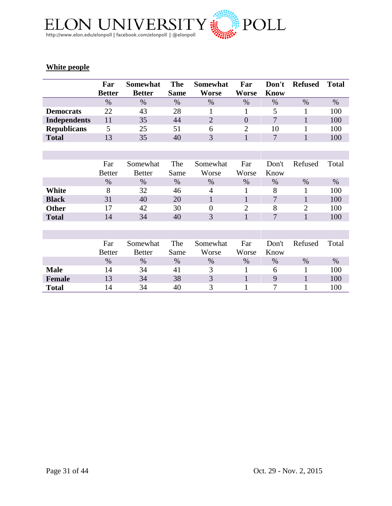

# **White people**

|                     | Far<br><b>Better</b> | <b>Somewhat</b><br><b>Better</b> | <b>The</b><br><b>Same</b> | <b>Somewhat</b><br><b>Worse</b> | Far<br>Worse   | Don't<br><b>Know</b> | <b>Refused</b> | <b>Total</b> |
|---------------------|----------------------|----------------------------------|---------------------------|---------------------------------|----------------|----------------------|----------------|--------------|
|                     | $\%$                 | $\%$                             | $\%$                      | $\%$                            | $\%$           | %                    | $\%$           | $\%$         |
| <b>Democrats</b>    | 22                   | 43                               | 28                        | 1                               | 1              | 5                    | 1              | 100          |
| <b>Independents</b> | 11                   | 35                               | 44                        | $\overline{2}$                  | $\overline{0}$ | 7                    | $\mathbf{1}$   | 100          |
| <b>Republicans</b>  | 5                    | 25                               | 51                        | 6                               | $\overline{2}$ | 10                   | 1              | 100          |
| <b>Total</b>        | 13                   | 35                               | 40                        | 3                               | $\mathbf{1}$   | 7                    | $\mathbf{1}$   | 100          |
|                     |                      |                                  |                           |                                 |                |                      |                |              |
|                     |                      |                                  |                           |                                 |                |                      |                |              |
|                     | Far                  | Somewhat                         | The                       | Somewhat                        | Far            | Don't                | Refused        | Total        |
|                     | <b>Better</b>        | <b>Better</b>                    | Same                      | Worse                           | Worse          | Know                 |                |              |
|                     | $\%$                 | $\%$                             | $\%$                      | $\%$                            | $\%$           | $\%$                 | %              | $\%$         |
| White               | 8                    | 32                               | 46                        | 4                               | 1              | 8                    | 1              | 100          |
| <b>Black</b>        | 31                   | 40                               | 20                        | 1                               | $\mathbf{1}$   | $\overline{7}$       | $\mathbf{1}$   | 100          |
| <b>Other</b>        | 17                   | 42                               | 30                        | $\theta$                        | 2              | 8                    | $\overline{2}$ | 100          |
| <b>Total</b>        | 14                   | 34                               | 40                        | 3                               | $\mathbf{1}$   | 7                    | $\mathbf{1}$   | 100          |
|                     |                      |                                  |                           |                                 |                |                      |                |              |
|                     |                      |                                  |                           |                                 |                |                      |                |              |
|                     | Far                  | Somewhat                         | The                       | Somewhat                        | Far            | Don't                | Refused        | Total        |
|                     | <b>Better</b>        | <b>Better</b>                    | Same                      | Worse                           | Worse          | Know                 |                |              |
|                     | $\%$                 | $\%$                             | $\%$                      | $\%$                            | $\%$           | $\%$                 | $\%$           | $\%$         |
| <b>Male</b>         | 14                   | 34                               | 41                        | 3                               | 1              | 6                    | $\mathbf{1}$   | 100          |
| <b>Female</b>       | 13                   | 34                               | 38                        | 3                               | $\mathbf{1}$   | 9                    | $\mathbf{1}$   | 100          |
| <b>Total</b>        | 14                   | 34                               | 40                        | 3                               | 1              | 7                    | 1              | 100          |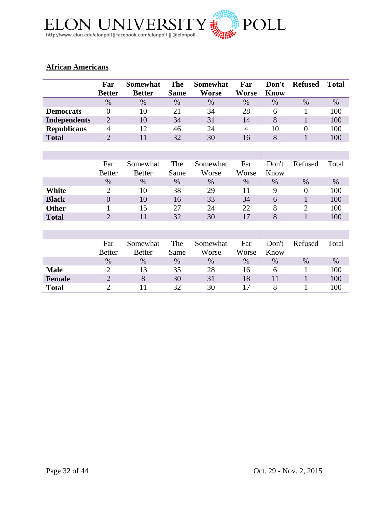

# **African Americans**

|                     | Far              | <b>Somewhat</b> | <b>The</b>  | <b>Somewhat</b> | Far            | Don't       | <b>Refused</b> | <b>Total</b> |
|---------------------|------------------|-----------------|-------------|-----------------|----------------|-------------|----------------|--------------|
|                     | <b>Better</b>    | <b>Better</b>   | <b>Same</b> | Worse           | Worse          | <b>Know</b> |                |              |
|                     | $\%$             | $\%$            | $\%$        | $\%$            | $\%$           | $\%$        | $\%$           | $\%$         |
| <b>Democrats</b>    | $\overline{0}$   | 10              | 21          | 34              | 28             | 6           | 1              | 100          |
| <b>Independents</b> | $\overline{2}$   | 10              | 34          | 31              | 14             | 8           | $\mathbf{1}$   | 100          |
| <b>Republicans</b>  | 4                | 12              | 46          | 24              | $\overline{4}$ | 10          | $\theta$       | 100          |
| <b>Total</b>        | $\overline{2}$   | 11              | 32          | 30              | 16             | 8           | $\mathbf{1}$   | 100          |
|                     |                  |                 |             |                 |                |             |                |              |
|                     |                  |                 |             |                 |                |             |                |              |
|                     | Far              | Somewhat        | The         | Somewhat        | Far            | Don't       | Refused        | Total        |
|                     | <b>Better</b>    | <b>Better</b>   | Same        | Worse           | Worse          | Know        |                |              |
|                     | $\%$             | $\%$            | $\%$        | $\%$            | $\%$           | $\%$        | $\%$           | $\%$         |
| White               | $\overline{2}$   | 10              | 38          | 29              | 11             | 9           | $\theta$       | 100          |
| <b>Black</b>        | $\boldsymbol{0}$ | 10              | 16          | 33              | 34             | 6           | $\mathbf{1}$   | 100          |
| <b>Other</b>        | 1                | 15              | 27          | 24              | 22             | 8           | $\overline{2}$ | 100          |
| <b>Total</b>        | $\overline{2}$   | 11              | 32          | 30              | 17             | 8           | $\mathbf{1}$   | 100          |
|                     |                  |                 |             |                 |                |             |                |              |
|                     |                  |                 |             |                 |                |             |                |              |
|                     | Far              | Somewhat        | The         | Somewhat        | Far            | Don't       | Refused        | Total        |
|                     | <b>Better</b>    | <b>Better</b>   | Same        | Worse           | Worse          | Know        |                |              |
|                     | $\%$             | $\%$            | $\%$        | $\%$            | $\%$           | $\%$        | $\%$           | $\%$         |
| <b>Male</b>         | $\overline{2}$   | 13              | 35          | 28              | 16             | 6           | $\mathbf{1}$   | 100          |
| <b>Female</b>       | $\overline{2}$   | 8               | 30          | 31              | 18             | 11          | $\mathbf{1}$   | 100          |
| <b>Total</b>        | $\overline{2}$   | 11              | 32          | 30              | 17             | 8           | $\mathbf{1}$   | 100          |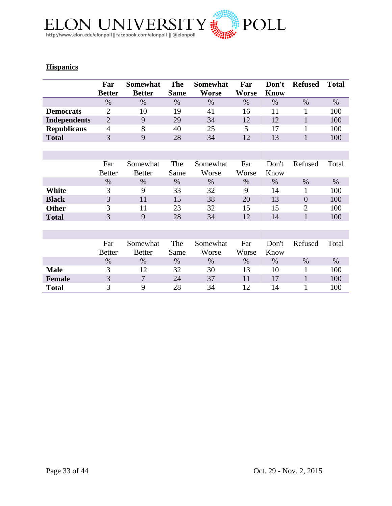

# **Hispanics**

|                     | Far<br><b>Better</b> | <b>Somewhat</b><br><b>Better</b> | <b>The</b><br><b>Same</b> | <b>Somewhat</b><br><b>Worse</b> | Far<br>Worse | Don't<br><b>Know</b> | <b>Refused</b> | <b>Total</b> |
|---------------------|----------------------|----------------------------------|---------------------------|---------------------------------|--------------|----------------------|----------------|--------------|
|                     | $\%$                 | $\%$                             | $\%$                      | $\%$                            | $\%$         | $\%$                 | $\%$           | $\%$         |
| <b>Democrats</b>    | $\overline{2}$       | 10                               | 19                        | 41                              | 16           | 11                   | 1              | 100          |
| <b>Independents</b> | $\overline{2}$       | 9                                | 29                        | 34                              | 12           | 12                   | $\mathbf{1}$   | 100          |
| <b>Republicans</b>  | $\overline{4}$       | 8                                | 40                        | 25                              | 5            | 17                   | 1              | 100          |
| <b>Total</b>        | 3                    | 9                                | 28                        | 34                              | 12           | 13                   | $\mathbf{1}$   | 100          |
|                     |                      |                                  |                           |                                 |              |                      |                |              |
|                     |                      |                                  |                           |                                 |              |                      |                |              |
|                     | Far                  | Somewhat                         | The                       | Somewhat                        | Far          | Don't                | Refused        | Total        |
|                     | <b>Better</b>        | <b>Better</b>                    | Same                      | Worse                           | Worse        | Know                 |                |              |
|                     | $\%$                 | $\%$                             | $\%$                      | $\%$                            | $\%$         | $\%$                 | $\%$           | $\%$         |
| White               | 3                    | 9                                | 33                        | 32                              | 9            | 14                   | 1              | 100          |
| <b>Black</b>        | 3                    | 11                               | 15                        | 38                              | 20           | 13                   | $\overline{0}$ | 100          |
| <b>Other</b>        | 3                    | 11                               | 23                        | 32                              | 15           | 15                   | $\overline{2}$ | 100          |
| <b>Total</b>        | 3                    | 9                                | 28                        | 34                              | 12           | 14                   | $\mathbf{1}$   | 100          |
|                     |                      |                                  |                           |                                 |              |                      |                |              |
|                     |                      |                                  |                           |                                 |              |                      |                |              |
|                     | Far                  | Somewhat                         | The                       | Somewhat                        | Far          | Don't                | Refused        | Total        |
|                     | <b>Better</b>        | <b>Better</b>                    | Same                      | Worse                           | Worse        | Know                 |                |              |
|                     | $\%$                 | $\%$                             | $\%$                      | $\%$                            | $\%$         | $\%$                 | $\%$           | $\%$         |
| <b>Male</b>         | 3                    | 12                               | 32                        | 30                              | 13           | 10                   | 1              | 100          |
| <b>Female</b>       | 3                    | $\overline{7}$                   | 24                        | 37                              | 11           | 17                   | $\mathbf{1}$   | 100          |
| <b>Total</b>        | 3                    | 9                                | 28                        | 34                              | 12           | 14                   | 1              | 100          |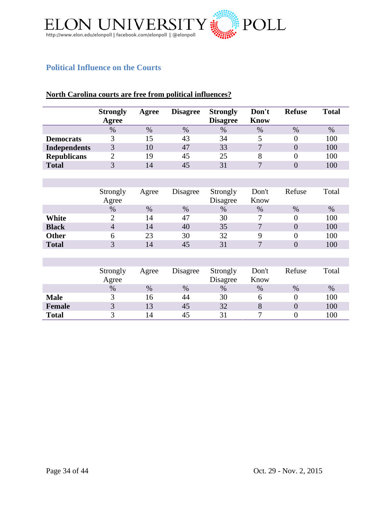

# <span id="page-33-0"></span>**Political Influence on the Courts**

#### **North Carolina courts are free from political influences?**

|                     | <b>Strongly</b><br>Agree | Agree | <b>Disagree</b> | <b>Strongly</b><br><b>Disagree</b> | Don't<br><b>Know</b> | <b>Refuse</b> | <b>Total</b> |
|---------------------|--------------------------|-------|-----------------|------------------------------------|----------------------|---------------|--------------|
|                     | $\%$                     | $\%$  | %               | $\%$                               | $\%$                 | $\%$          | $\%$         |
| <b>Democrats</b>    |                          | 15    | 43              | 34                                 |                      |               | 100          |
| <b>Independents</b> | $\mathbf{R}$             | 10    | 47              | 33                                 | $\mathbf{r}$         |               | 100          |
| <b>Republicans</b>  |                          | 19    | 45              | 25                                 |                      |               | 100          |
| <b>Total</b>        | $\mathbf{\Omega}$        | 14    | 45              | 31                                 | $\mathbf{r}$         |               | 100          |
|                     |                          |       |                 |                                    |                      |               |              |

|              | Strongly<br>Agree | Agree | Disagree | Strongly<br>Disagree | Don't<br>Know   | Refuse | Total |
|--------------|-------------------|-------|----------|----------------------|-----------------|--------|-------|
|              | $\%$              | $\%$  | $\%$     | $\%$                 | $\%$            | $\%$   | $\%$  |
| White        |                   | 14    | 47       | 30                   |                 |        | 100   |
| <b>Black</b> | $\overline{4}$    | 14    | 40       | 35                   | $\mathbf{\tau}$ |        | 100   |
| <b>Other</b> |                   | 23    | 30       | 32                   |                 |        | 100   |
| <b>Total</b> | $\mathbf 2$       | 14    | 45       | 31                   | $\mathbf{\tau}$ |        | 100   |

|               | Strongly<br>Agree | Agree | Disagree | Strongly<br>Disagree | Don't<br>Know | Refuse | Total |
|---------------|-------------------|-------|----------|----------------------|---------------|--------|-------|
|               | %                 | $\%$  | $\%$     | %                    | $\%$          | $\%$   | %     |
| <b>Male</b>   |                   | Iб    | 44       | 30                   |               |        | 100   |
| <b>Female</b> | $\mathbf{z}$      | 13    | 45       | 32                   | 8             |        | 100   |
| <b>Total</b>  |                   | 14    | 45       |                      |               |        | 100   |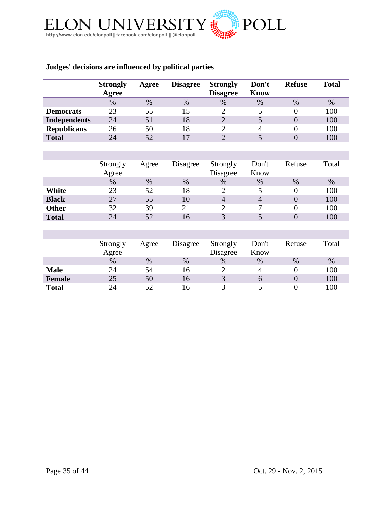

# **Judges' decisions are influenced by political parties**

|                     | <b>Strongly</b><br><b>Agree</b> | Agree | <b>Disagree</b> | <b>Strongly</b><br><b>Disagree</b> | Don't<br><b>Know</b> | <b>Refuse</b>    | <b>Total</b> |
|---------------------|---------------------------------|-------|-----------------|------------------------------------|----------------------|------------------|--------------|
|                     | $\%$                            | $\%$  | $\%$            | $\%$                               | $\%$                 | %                | $\%$         |
| <b>Democrats</b>    | 23                              | 55    | 15              | $\overline{2}$                     | 5                    | $\overline{0}$   | 100          |
| <b>Independents</b> | 24                              | 51    | 18              | $\overline{2}$                     | 5                    | $\overline{0}$   | 100          |
| <b>Republicans</b>  | 26                              | 50    | 18              | $\overline{2}$                     | 4                    | $\boldsymbol{0}$ | 100          |
| <b>Total</b>        | 24                              | 52    | 17              | $\overline{2}$                     | 5                    | $\overline{0}$   | 100          |
|                     |                                 |       |                 |                                    |                      |                  |              |
|                     |                                 |       |                 |                                    |                      |                  |              |
|                     | Strongly                        | Agree | Disagree        | Strongly                           | Don't                | Refuse           | Total        |
|                     | Agree                           |       |                 | Disagree                           | Know                 |                  |              |
|                     | $\%$                            | $\%$  | $\%$            | %                                  | $\%$                 | $\%$             | $\%$         |
| <b>White</b>        | 23                              | 52    | 18              | $\overline{2}$                     | 5                    | $\overline{0}$   | 100          |
| <b>Black</b>        | 27                              | 55    | 10              | $\overline{4}$                     | $\overline{4}$       | $\overline{0}$   | 100          |
| <b>Other</b>        | 32                              | 39    | 21              | $\overline{2}$                     | 7                    | $\overline{0}$   | 100          |
| <b>Total</b>        | 24                              | 52    | 16              | 3                                  | 5                    | $\overline{0}$   | 100          |
|                     |                                 |       |                 |                                    |                      |                  |              |
|                     |                                 |       |                 |                                    |                      |                  |              |
|                     | Strongly                        | Agree | Disagree        | Strongly                           | Don't                | Refuse           | Total        |
|                     | Agree                           |       |                 | Disagree                           | Know                 |                  |              |
|                     | $\%$                            | $\%$  | $\%$            | $\%$                               | $\%$                 | $\%$             | $\%$         |
| <b>Male</b>         | 24                              | 54    | 16              | $\overline{2}$                     | $\overline{4}$       | $\overline{0}$   | 100          |
| <b>Female</b>       | 25                              | 50    | 16              | 3                                  | 6                    | $\boldsymbol{0}$ | 100          |
| <b>Total</b>        | 24                              | 52    | 16              | 3                                  | 5                    | $\overline{0}$   | 100          |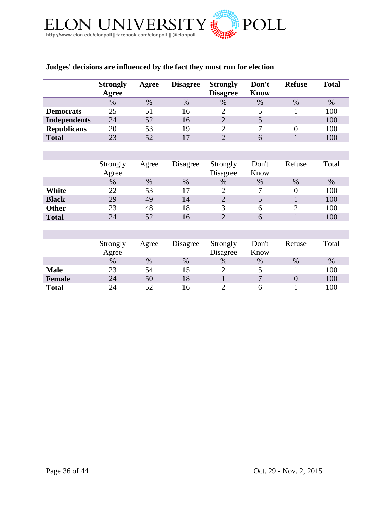

# **Judges' decisions are influenced by the fact they must run for election**

|                     | <b>Strongly</b> | Agree | <b>Disagree</b> | <b>Strongly</b> | Don't       | <b>Refuse</b>    | <b>Total</b> |
|---------------------|-----------------|-------|-----------------|-----------------|-------------|------------------|--------------|
|                     | Agree           |       |                 | <b>Disagree</b> | <b>Know</b> |                  |              |
|                     | $\%$            | $\%$  | $\%$            | $\%$            | $\%$        | $\%$             | $\%$         |
| <b>Democrats</b>    | 25              | 51    | 16              | $\overline{2}$  | 5           | 1                | 100          |
| <b>Independents</b> | 24              | 52    | 16              | $\overline{2}$  | 5           | $\mathbf{1}$     | 100          |
| <b>Republicans</b>  | 20              | 53    | 19              | $\overline{2}$  | 7           | $\overline{0}$   | 100          |
| <b>Total</b>        | 23              | 52    | 17              | $\overline{2}$  | 6           | $\mathbf{1}$     | 100          |
|                     |                 |       |                 |                 |             |                  |              |
|                     |                 |       |                 |                 |             |                  |              |
|                     | Strongly        | Agree | Disagree        | Strongly        | Don't       | Refuse           | Total        |
|                     | Agree           |       |                 | Disagree        | Know        |                  |              |
|                     | $\%$            | $\%$  | $\%$            | %               | $\%$        | $\%$             | $\%$         |
| White               | 22              | 53    | 17              | $\overline{2}$  | 7           | $\boldsymbol{0}$ | 100          |
| <b>Black</b>        | 29              | 49    | 14              | $\overline{2}$  | 5           | $\mathbf{1}$     | 100          |
| <b>Other</b>        | 23              | 48    | 18              | 3               | 6           | $\overline{2}$   | 100          |
| <b>Total</b>        | 24              | 52    | 16              | $\overline{2}$  | 6           | $\mathbf{1}$     | 100          |
|                     |                 |       |                 |                 |             |                  |              |
|                     |                 |       |                 |                 |             |                  |              |
|                     | Strongly        | Agree | Disagree        | Strongly        | Don't       | Refuse           | Total        |
|                     | Agree           |       |                 | Disagree        | Know        |                  |              |
|                     | $\%$            | $\%$  | $\%$            | $\%$            | $\%$        | $\%$             | $\%$         |
| <b>Male</b>         | 23              | 54    | 15              | $\overline{2}$  | 5           | 1                | 100          |
| <b>Female</b>       | 24              | 50    | 18              | $\mathbf{1}$    | 7           | $\overline{0}$   | 100          |
| <b>Total</b>        | 24              | 52    | 16              | $\overline{2}$  | 6           | 1                | 100          |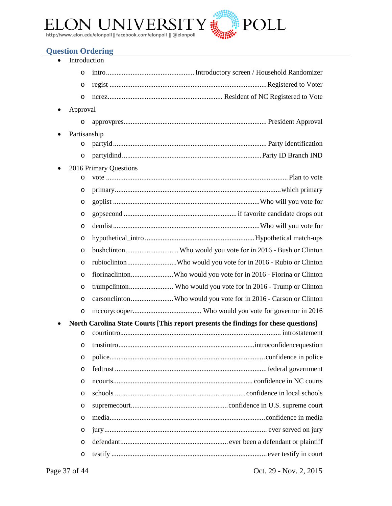

# <span id="page-36-0"></span>**Question Ordering**

| Introduction |                                                                                     |
|--------------|-------------------------------------------------------------------------------------|
| $\circ$      |                                                                                     |
| $\circ$      |                                                                                     |
| O            |                                                                                     |
| Approval     |                                                                                     |
| O            |                                                                                     |
| Partisanship |                                                                                     |
| $\circ$      |                                                                                     |
| $\circ$      |                                                                                     |
|              | 2016 Primary Questions                                                              |
| $\circ$      |                                                                                     |
| O            |                                                                                     |
| O            |                                                                                     |
| O            |                                                                                     |
| O            |                                                                                     |
| $\circ$      |                                                                                     |
| $\circ$      |                                                                                     |
| $\circ$      | rubioclintonWho would you vote for in 2016 - Rubio or Clinton                       |
| $\circ$      | fiorinaclintonWho would you vote for in 2016 - Fiorina or Clinton                   |
| $\circ$      |                                                                                     |
| $\circ$      | carsonclintonWho would you vote for in 2016 - Carson or Clinton                     |
| $\circ$      |                                                                                     |
|              | North Carolina State Courts [This report presents the findings for these questions] |
| O            |                                                                                     |
| O            |                                                                                     |
| $\circ$      |                                                                                     |
| O            |                                                                                     |
| O            |                                                                                     |
| $\circ$      |                                                                                     |
| O            |                                                                                     |
| $\circ$      |                                                                                     |
| O            |                                                                                     |
| O            |                                                                                     |
| O            |                                                                                     |

Page 37 of 44 Oct. 29 - Nov. 2, 2015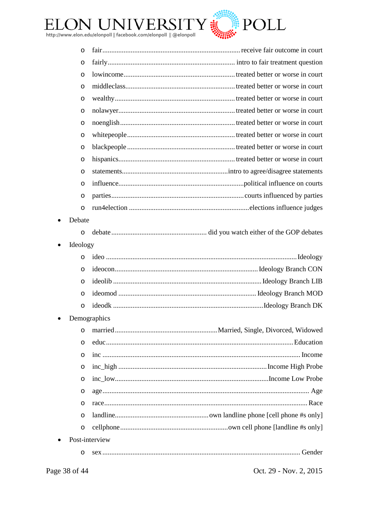

| $\circ$  |                |
|----------|----------------|
| O        |                |
| $\circ$  |                |
| $\circ$  |                |
| O        |                |
| O        |                |
| O        |                |
| $\circ$  |                |
| $\circ$  |                |
| $\circ$  |                |
| O        |                |
| $\circ$  |                |
| O        |                |
| $\circ$  |                |
| Debate   |                |
| $\circ$  |                |
| Ideology |                |
| $\circ$  |                |
| $\circ$  |                |
| $\circ$  |                |
| $\circ$  |                |
| $\circ$  |                |
|          | Demographics   |
| O        |                |
| O        |                |
| O        |                |
| O        |                |
| $\circ$  |                |
| O        |                |
| O        |                |
| O        |                |
| $\circ$  |                |
|          | Post-interview |
| O        |                |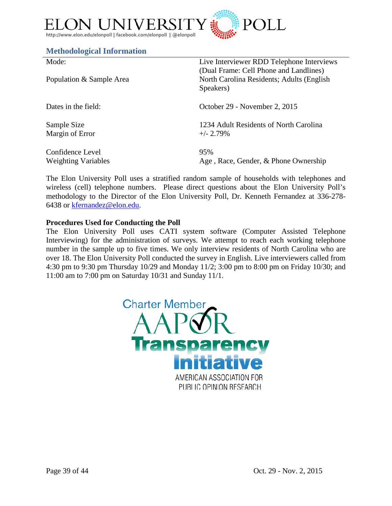

#### <span id="page-38-0"></span>**Methodological Information**

| Mode:<br>Population & Sample Area | Live Interviewer RDD Telephone Interviews<br>(Dual Frame: Cell Phone and Landlines)<br>North Carolina Residents; Adults (English<br>Speakers) |
|-----------------------------------|-----------------------------------------------------------------------------------------------------------------------------------------------|
| Dates in the field:               | October 29 - November 2, 2015                                                                                                                 |
| Sample Size                       | 1234 Adult Residents of North Carolina                                                                                                        |
| Margin of Error                   | $+/- 2.79\%$                                                                                                                                  |
| Confidence Level                  | 95%                                                                                                                                           |
| <b>Weighting Variables</b>        | Age, Race, Gender, & Phone Ownership                                                                                                          |

The Elon University Poll uses a stratified random sample of households with telephones and wireless (cell) telephone numbers. Please direct questions about the Elon University Poll's methodology to the Director of the Elon University Poll, Dr. Kenneth Fernandez at 336-278- 6438 or [kfernandez@elon.edu.](mailto:kfernandez@elon.edu)

#### **Procedures Used for Conducting the Poll**

The Elon University Poll uses CATI system software (Computer Assisted Telephone Interviewing) for the administration of surveys. We attempt to reach each working telephone number in the sample up to five times. We only interview residents of North Carolina who are over 18. The Elon University Poll conducted the survey in English. Live interviewers called from 4:30 pm to 9:30 pm Thursday 10/29 and Monday 11/2; 3:00 pm to 8:00 pm on Friday 10/30; and 11:00 am to 7:00 pm on Saturday 10/31 and Sunday 11/1.

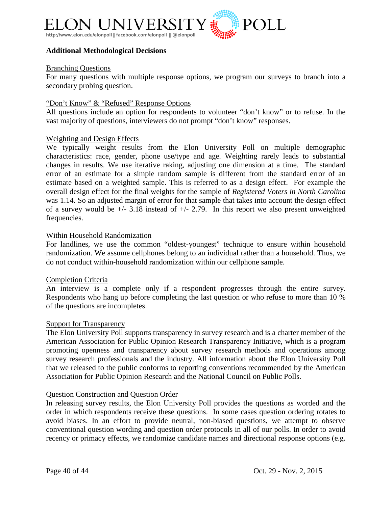

#### **Additional Methodological Decisions**

#### Branching Questions

For many questions with multiple response options, we program our surveys to branch into a secondary probing question.

#### "Don't Know" & "Refused" Response Options

All questions include an option for respondents to volunteer "don't know" or to refuse. In the vast majority of questions, interviewers do not prompt "don't know" responses.

#### Weighting and Design Effects

We typically weight results from the Elon University Poll on multiple demographic characteristics: race, gender, phone use/type and age. Weighting rarely leads to substantial changes in results. We use iterative raking, adjusting one dimension at a time. The standard error of an estimate for a simple random sample is different from the standard error of an estimate based on a weighted sample. This is referred to as a design effect. For example the overall design effect for the final weights for the sample of *Registered Voters in North Carolina* was 1.14. So an adjusted margin of error for that sample that takes into account the design effect of a survey would be  $+/- 3.18$  instead of  $+/- 2.79$ . In this report we also present unweighted frequencies.

#### Within Household Randomization

For landlines, we use the common "oldest-youngest" technique to ensure within household randomization. We assume cellphones belong to an individual rather than a household. Thus, we do not conduct within-household randomization within our cellphone sample.

#### Completion Criteria

An interview is a complete only if a respondent progresses through the entire survey. Respondents who hang up before completing the last question or who refuse to more than 10 % of the questions are incompletes.

#### Support for Transparency

The Elon University Poll supports transparency in survey research and is a charter member of the American Association for Public Opinion Research Transparency Initiative, which is a program promoting openness and transparency about survey research methods and operations among survey research professionals and the industry. All information about the Elon University Poll that we released to the public conforms to reporting conventions recommended by the American Association for Public Opinion Research and the National Council on Public Polls.

#### Question Construction and Question Order

In releasing survey results, the Elon University Poll provides the questions as worded and the order in which respondents receive these questions. In some cases question ordering rotates to avoid biases. In an effort to provide neutral, non-biased questions, we attempt to observe conventional question wording and question order protocols in all of our polls. In order to avoid recency or primacy effects, we randomize candidate names and directional response options (e.g.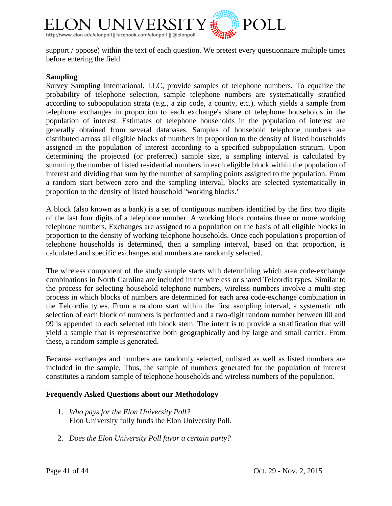

support / oppose) within the text of each question. We pretest every questionnaire multiple times before entering the field.

#### **Sampling**

Survey Sampling International, LLC, provide samples of telephone numbers. To equalize the probability of telephone selection, sample telephone numbers are systematically stratified according to subpopulation strata (e.g., a zip code, a county, etc.), which yields a sample from telephone exchanges in proportion to each exchange's share of telephone households in the population of interest. Estimates of telephone households in the population of interest are generally obtained from several databases. Samples of household telephone numbers are distributed across all eligible blocks of numbers in proportion to the density of listed households assigned in the population of interest according to a specified subpopulation stratum. Upon determining the projected (or preferred) sample size, a sampling interval is calculated by summing the number of listed residential numbers in each eligible block within the population of interest and dividing that sum by the number of sampling points assigned to the population. From a random start between zero and the sampling interval, blocks are selected systematically in proportion to the density of listed household "working blocks."

A block (also known as a bank) is a set of contiguous numbers identified by the first two digits of the last four digits of a telephone number. A working block contains three or more working telephone numbers. Exchanges are assigned to a population on the basis of all eligible blocks in proportion to the density of working telephone households. Once each population's proportion of telephone households is determined, then a sampling interval, based on that proportion, is calculated and specific exchanges and numbers are randomly selected.

The wireless component of the study sample starts with determining which area code-exchange combinations in North Carolina are included in the wireless or shared Telcordia types. Similar to the process for selecting household telephone numbers, wireless numbers involve a multi-step process in which blocks of numbers are determined for each area code-exchange combination in the Telcordia types. From a random start within the first sampling interval, a systematic nth selection of each block of numbers is performed and a two-digit random number between 00 and 99 is appended to each selected nth block stem. The intent is to provide a stratification that will yield a sample that is representative both geographically and by large and small carrier. From these, a random sample is generated.

Because exchanges and numbers are randomly selected, unlisted as well as listed numbers are included in the sample. Thus, the sample of numbers generated for the population of interest constitutes a random sample of telephone households and wireless numbers of the population.

#### **Frequently Asked Questions about our Methodology**

- 1. *Who pays for the Elon University Poll?* Elon University fully funds the Elon University Poll.
- 2. *Does the Elon University Poll favor a certain party?*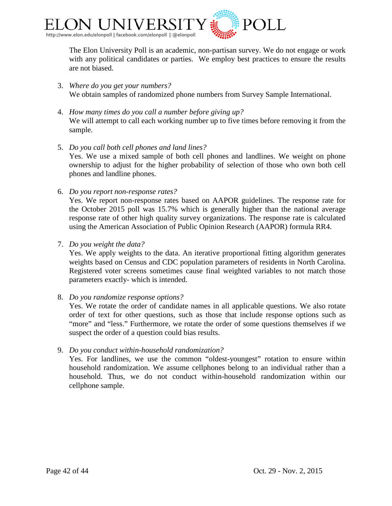

The Elon University Poll is an academic, non-partisan survey. We do not engage or work with any political candidates or parties. We employ best practices to ensure the results are not biased.

- 3. *Where do you get your numbers?* We obtain samples of randomized phone numbers from Survey Sample International.
- 4. *How many times do you call a number before giving up?* We will attempt to call each working number up to five times before removing it from the sample.
- 5. *Do you call both cell phones and land lines?* Yes. We use a mixed sample of both cell phones and landlines. We weight on phone ownership to adjust for the higher probability of selection of those who own both cell phones and landline phones.
- 6. *Do you report non-response rates?*

Yes. We report non-response rates based on AAPOR guidelines. The response rate for the October 2015 poll was 15.7% which is generally higher than the national average response rate of other high quality survey organizations. The response rate is calculated using the American Association of Public Opinion Research (AAPOR) formula RR4.

7. *Do you weight the data?*

Yes. We apply weights to the data. An iterative proportional fitting algorithm generates weights based on Census and CDC population parameters of residents in North Carolina. Registered voter screens sometimes cause final weighted variables to not match those parameters exactly- which is intended.

8. *Do you randomize response options?*

Yes. We rotate the order of candidate names in all applicable questions. We also rotate order of text for other questions, such as those that include response options such as "more" and "less." Furthermore, we rotate the order of some questions themselves if we suspect the order of a question could bias results.

9. *Do you conduct within-household randomization?*

Yes. For landlines, we use the common "oldest-youngest" rotation to ensure within household randomization. We assume cellphones belong to an individual rather than a household. Thus, we do not conduct within-household randomization within our cellphone sample.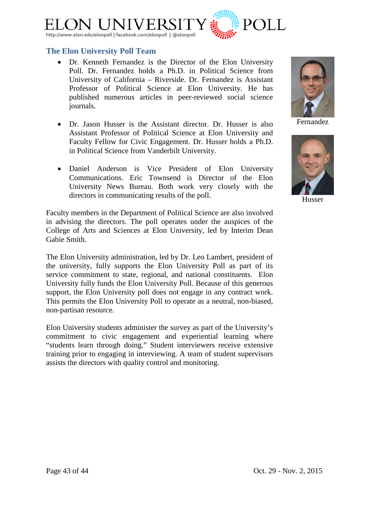

## <span id="page-42-0"></span>**The Elon University Poll Team**

- [Dr. Kenneth Fernandez](http://www.elon.edu/directories/profile/?user=kfernandez) is the Director of the Elon University Poll. Dr. Fernandez holds a Ph.D. in Political Science from University of California – Riverside. Dr. Fernandez is Assistant Professor of Political Science at Elon University. He has published numerous articles in peer-reviewed social science journals.
- [Dr. Jason Husser](http://www.elon.edu/directories/profile/?user=jhusser) is the Assistant director. Dr. Husser is also Assistant Professor of Political Science at Elon University and Faculty Fellow for Civic Engagement. Dr. Husser holds a Ph.D. in Political Science from Vanderbilt University.
- Daniel Anderson is Vice President of Elon University Communications. Eric Townsend is Director of the Elon University News Bureau. Both work very closely with the directors in communicating results of the poll.

Faculty members in the Department of Political Science are also involved in advising the directors. The poll operates under the auspices of the College of Arts and Sciences at Elon University, led by Interim Dean Gabie Smith.

The Elon University administration, led by Dr. Leo Lambert, president of the university, fully supports the Elon University Poll as part of its service commitment to state, regional, and national constituents. Elon University fully funds the Elon University Poll. Because of this generous support, the Elon University poll does not engage in any contract work. This permits the Elon University Poll to operate as a neutral, non-biased, non-partisan resource.

Elon University students administer the survey as part of the University's commitment to civic engagement and experiential learning where "students learn through doing." Student interviewers receive extensive training prior to engaging in interviewing. A team of student supervisors assists the directors with quality control and monitoring.

Fernandez



Husser